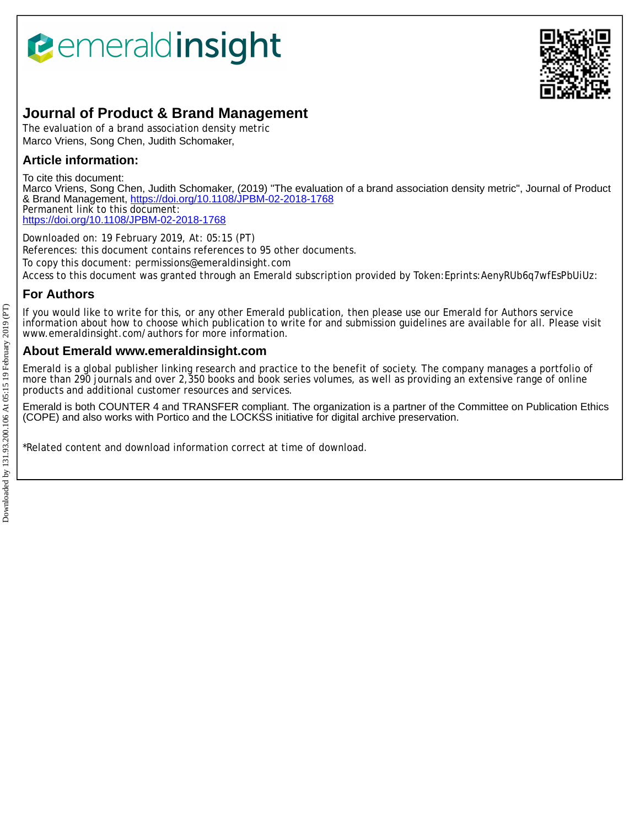# *<u><b>Pemeraldinsight</u>*



## **Journal of Product & Brand Management**

The evaluation of a brand association density metric Marco Vriens, Song Chen, Judith Schomaker,

## **Article information:**

To cite this document:

Marco Vriens, Song Chen, Judith Schomaker, (2019) "The evaluation of a brand association density metric", Journal of Product & Brand Management,<https://doi.org/10.1108/JPBM-02-2018-1768> Permanent link to this document:

<https://doi.org/10.1108/JPBM-02-2018-1768>

Downloaded on: 19 February 2019, At: 05:15 (PT) References: this document contains references to 95 other documents. To copy this document: permissions@emeraldinsight.com Access to this document was granted through an Emerald subscription provided by Token:Eprints:AenyRUb6q7wfEsPbUiUz:

## **For Authors**

If you would like to write for this, or any other Emerald publication, then please use our Emerald for Authors service information about how to choose which publication to write for and submission guidelines are available for all. Please visit www.emeraldinsight.com/authors for more information.

### **About Emerald www.emeraldinsight.com**

Emerald is a global publisher linking research and practice to the benefit of society. The company manages a portfolio of more than 290 journals and over 2,350 books and book series volumes, as well as providing an extensive range of online products and additional customer resources and services.

Emerald is both COUNTER 4 and TRANSFER compliant. The organization is a partner of the Committee on Publication Ethics (COPE) and also works with Portico and the LOCKSS initiative for digital archive preservation.

\*Related content and download information correct at time of download.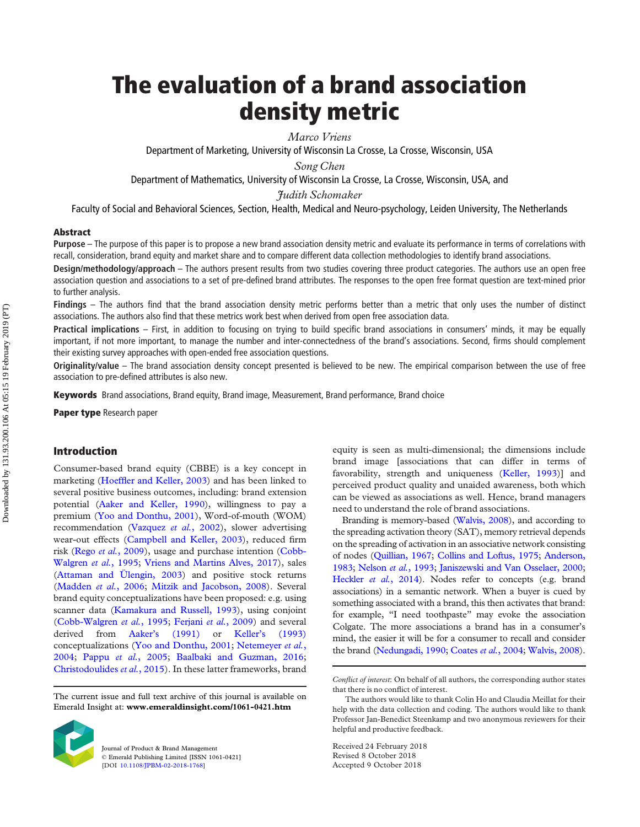## The evaluation of a brand association density metric

Marco Vriens

Department of Marketing, University of Wisconsin La Crosse, La Crosse, Wisconsin, USA

Song Chen

Department of Mathematics, University of Wisconsin La Crosse, La Crosse, Wisconsin, USA, and

Judith Schomaker

Faculty of Social and Behavioral Sciences, Section, Health, Medical and Neuro-psychology, Leiden University, The Netherlands

#### **Abstract**

Purpose – The purpose of this paper is to propose a new brand association density metric and evaluate its performance in terms of correlations with recall, consideration, brand equity and market share and to compare different data collection methodologies to identify brand associations.

Design/methodology/approach - The authors present results from two studies covering three product categories. The authors use an open free association question and associations to a set of pre-defined brand attributes. The responses to the open free format question are text-mined prior to further analysis.

Findings - The authors find that the brand association density metric performs better than a metric that only uses the number of distinct associations. The authors also find that these metrics work best when derived from open free association data.

Practical implications – First, in addition to focusing on trying to build specific brand associations in consumers' minds, it may be equally important, if not more important, to manage the number and inter-connectedness of the brand's associations. Second, firms should complement their existing survey approaches with open-ended free association questions.

Originality/value – The brand association density concept presented is believed to be new. The empirical comparison between the use of free association to pre-defined attributes is also new.

Keywords Brand associations, Brand equity, Brand image, Measurement, Brand performance, Brand choice

Paper type Research paper

#### Introduction

Consumer-based brand equity (CBBE) is a key concept in marketing (Hoeffl[er and Keller, 2003](#page-11-0)) and has been linked to several positive business outcomes, including: brand extension potential [\(Aaker and Keller, 1990\)](#page-10-0), willingness to pay a premium [\(Yoo and Donthu, 2001\)](#page-13-0), Word-of-mouth (WOM) recommendation [\(Vazquez](#page-12-0) et al., 2002), slower advertising wear-out effects [\(Campbell and Keller, 2003\)](#page-10-1), reduced firm risk (Rego et al.[, 2009](#page-12-1)), usage and purchase intention ([Cobb-](#page-11-1)[Walgren](#page-11-1) et al., 1995; [Vriens and Martins Alves, 2017\)](#page-12-2), sales [\(Attaman and Ülengin, 2003\)](#page-10-2) and positive stock returns [\(Madden](#page-11-2) et al., 2006; [Mitzik and Jacobson, 2008\)](#page-11-3). Several brand equity conceptualizations have been proposed: e.g. using scanner data ([Kamakura and Russell, 1993\)](#page-11-4), using conjoint [\(Cobb-Walgren](#page-11-1) et al., 1995; [Ferjani](#page-11-5) et al., 2009) and several derived from Aaker'[s \(1991\)](#page-10-3) or Keller'[s \(1993\)](#page-11-6) conceptualizations ([Yoo and Donthu, 2001](#page-13-0); [Netemeyer](#page-12-3) et al., [2004;](#page-12-3) Pappu et al.[, 2005;](#page-12-4) [Baalbaki and Guzman, 2016](#page-10-4); [Christodoulides](#page-11-7) et al., 2015). In these latter frameworks, brand

The current issue and full text archive of this journal is available on Emerald Insight at: www.emeraldinsight.com/1061-0421.htm



Journal of Product & Brand Management © Emerald Publishing Limited [ISSN 1061-0421] [DOI [10.1108/JPBM-02-2018-1768\]](http://dx.doi.org/10.1108/JPBM-02-2018-1768)

equity is seen as multi-dimensional; the dimensions include brand image [associations that can differ in terms of favorability, strength and uniqueness [\(Keller, 1993\)](#page-11-6)] and perceived product quality and unaided awareness, both which can be viewed as associations as well. Hence, brand managers need to understand the role of brand associations.

Branding is memory-based [\(Walvis, 2008\)](#page-13-1), and according to the spreading activation theory (SAT), memory retrieval depends on the spreading of activation in an associative network consisting of nodes [\(Quillian, 1967](#page-12-5); [Collins and Loftus, 1975](#page-11-8); [Anderson,](#page-10-5) [1983](#page-10-5); [Nelson](#page-11-9) et al., 1993; [Janiszewski and Van Osselaer, 2000](#page-11-10); [Heckler](#page-11-11) et al., 2014). Nodes refer to concepts (e.g. brand associations) in a semantic network. When a buyer is cued by something associated with a brand, this then activates that brand: for example, "I need toothpaste" may evoke the association Colgate. The more associations a brand has in a consumer's mind, the easier it will be for a consumer to recall and consider the brand ([Nedungadi, 1990;](#page-11-12) [Coates](#page-11-13) et al., 2004; [Walvis, 2008](#page-13-1)).

Conflict of interest: On behalf of all authors, the corresponding author states that there is no conflict of interest.

The authors would like to thank Colin Ho and Claudia Meillat for their help with the data collection and coding. The authors would like to thank Professor Jan-Benedict Steenkamp and two anonymous reviewers for their helpful and productive feedback.

Received 24 February 2018 Revised 8 October 2018 Accepted 9 October 2018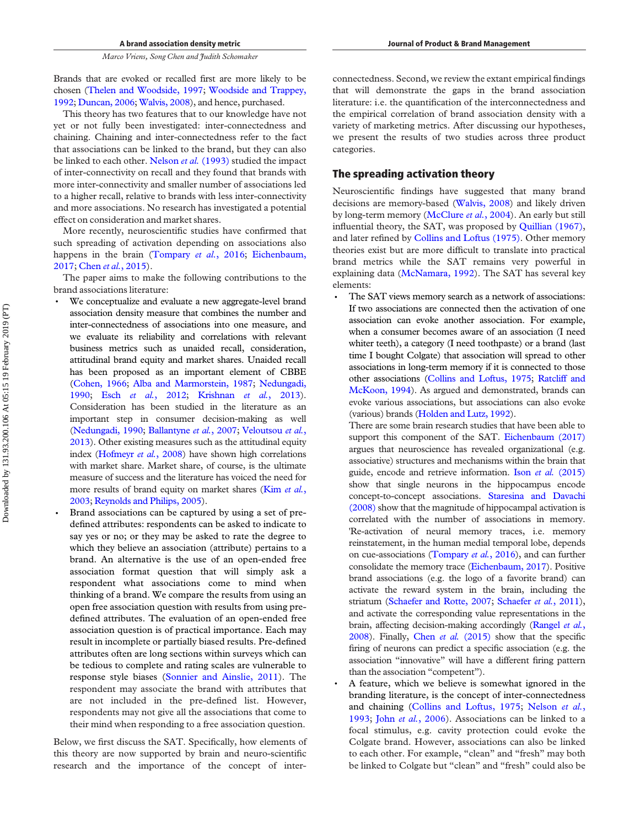Brands that are evoked or recalled first are more likely to be chosen ([Thelen and Woodside, 1997](#page-12-6); [Woodside and Trappey,](#page-13-2) [1992](#page-13-2); [Duncan, 2006](#page-11-14); [Walvis, 2008\)](#page-13-1), and hence, purchased.

This theory has two features that to our knowledge have not yet or not fully been investigated: inter-connectedness and chaining. Chaining and inter-connectedness refer to the fact that associations can be linked to the brand, but they can also be linked to each other. [Nelson](#page-11-9) et al. (1993) studied the impact of inter-connectivity on recall and they found that brands with more inter-connectivity and smaller number of associations led to a higher recall, relative to brands with less inter-connectivity and more associations. No research has investigated a potential effect on consideration and market shares.

More recently, neuroscientific studies have confirmed that such spreading of activation depending on associations also happens in the brain [\(Tompary](#page-12-7) et al., 2016; [Eichenbaum,](#page-11-15) [2017;](#page-11-15) Chen et al.[, 2015](#page-10-6)).

The paper aims to make the following contributions to the brand associations literature:

- We conceptualize and evaluate a new aggregate-level brand association density measure that combines the number and inter-connectedness of associations into one measure, and we evaluate its reliability and correlations with relevant business metrics such as unaided recall, consideration, attitudinal brand equity and market shares. Unaided recall has been proposed as an important element of CBBE ([Cohen, 1966;](#page-11-16) [Alba and Marmorstein, 1987](#page-10-7); [Nedungadi,](#page-11-12) [1990;](#page-11-12) Esch et al.[, 2012;](#page-11-17) [Krishnan](#page-11-18) et al., 2013). Consideration has been studied in the literature as an important step in consumer decision-making as well ([Nedungadi, 1990](#page-11-12); [Ballantyne](#page-10-8) et al., 2007; [Veloutsou](#page-12-8) et al., [2013\)](#page-12-8). Other existing measures such as the attitudinal equity index ([Hofmeyr](#page-11-19) et al., 2008) have shown high correlations with market share. Market share, of course, is the ultimate measure of success and the literature has voiced the need for more results of brand equity on market shares (Kim [et al.](#page-11-20), [2003;](#page-11-20) [Reynolds and Philips, 2005\)](#page-12-9).
- Brand associations can be captured by using a set of predefined attributes: respondents can be asked to indicate to say yes or no; or they may be asked to rate the degree to which they believe an association (attribute) pertains to a brand. An alternative is the use of an open-ended free association format question that will simply ask a respondent what associations come to mind when thinking of a brand. We compare the results from using an open free association question with results from using predefined attributes. The evaluation of an open-ended free association question is of practical importance. Each may result in incomplete or partially biased results. Pre-defined attributes often are long sections within surveys which can be tedious to complete and rating scales are vulnerable to response style biases ([Sonnier and Ainslie, 2011](#page-12-10)). The respondent may associate the brand with attributes that are not included in the pre-defined list. However, respondents may not give all the associations that come to their mind when responding to a free association question.

Below, we first discuss the SAT. Specifically, how elements of this theory are now supported by brain and neuro-scientific research and the importance of the concept of interconnectedness. Second, we review the extant empirical findings that will demonstrate the gaps in the brand association literature: i.e. the quantification of the interconnectedness and the empirical correlation of brand association density with a variety of marketing metrics. After discussing our hypotheses, we present the results of two studies across three product categories.

#### The spreading activation theory

Neuroscientific findings have suggested that many brand decisions are memory-based [\(Walvis, 2008\)](#page-13-1) and likely driven by long-term memory ([McClure](#page-11-21) et al., 2004). An early but still influential theory, the SAT, was proposed by [Quillian \(1967\)](#page-12-5), and later refined by [Collins and Loftus \(1975\).](#page-11-8) Other memory theories exist but are more difficult to translate into practical brand metrics while the SAT remains very powerful in explaining data [\(McNamara, 1992\)](#page-11-22). The SAT has several key elements:

 The SAT views memory search as a network of associations: If two associations are connected then the activation of one association can evoke another association. For example, when a consumer becomes aware of an association (I need whiter teeth), a category (I need toothpaste) or a brand (last time I bought Colgate) that association will spread to other associations in long-term memory if it is connected to those other associations ([Collins and Loftus, 1975](#page-11-8); [Ratcliff and](#page-12-11) [McKoon, 1994\)](#page-12-11). As argued and demonstrated, brands can evoke various associations, but associations can also evoke (various) brands ([Holden and Lutz, 1992](#page-11-23)).

There are some brain research studies that have been able to support this component of the SAT. [Eichenbaum \(2017\)](#page-11-15) argues that neuroscience has revealed organizational (e.g. associative) structures and mechanisms within the brain that guide, encode and retrieve information. Ison et al. [\(2015\)](#page-11-24) show that single neurons in the hippocampus encode concept-to-concept associations. [Staresina and Davachi](#page-12-12) [\(2008\)](#page-12-12) show that the magnitude of hippocampal activation is correlated with the number of associations in memory. 'Re-activation of neural memory traces, i.e. memory reinstatement, in the human medial temporal lobe, depends on cue-associations [\(Tompary](#page-12-7) et al., 2016), and can further consolidate the memory trace [\(Eichenbaum, 2017\)](#page-11-15). Positive brand associations (e.g. the logo of a favorite brand) can activate the reward system in the brain, including the striatum [\(Schaefer and Rotte, 2007](#page-12-13); [Schaefer](#page-12-14) et al., 2011), and activate the corresponding value representations in the brain, affecting decision-making accordingly ([Rangel](#page-12-15) et al., [2008\)](#page-12-15). Finally, Chen et al. [\(2015\)](#page-10-6) show that the specific firing of neurons can predict a specific association (e.g. the association "innovative" will have a different firing pattern than the association "competent").

 A feature, which we believe is somewhat ignored in the branding literature, is the concept of inter-connectedness and chaining ([Collins and Loftus, 1975](#page-11-8); [Nelson](#page-11-9) et al., [1993](#page-11-9); John et al.[, 2006\)](#page-11-25). Associations can be linked to a focal stimulus, e.g. cavity protection could evoke the Colgate brand. However, associations can also be linked to each other. For example, "clean" and "fresh" may both be linked to Colgate but "clean" and "fresh" could also be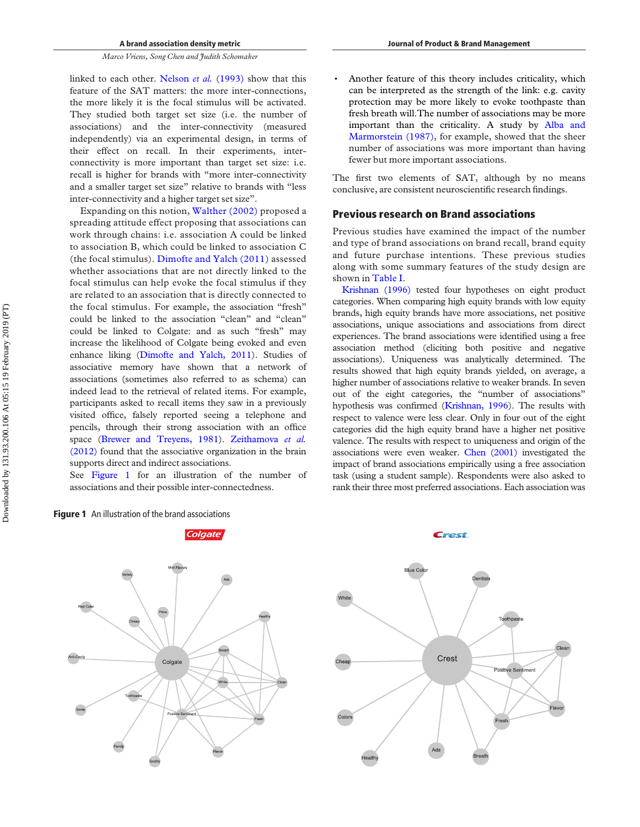linked to each other. [Nelson](#page-11-9) et al. (1993) show that this feature of the SAT matters: the more inter-connections, the more likely it is the focal stimulus will be activated. They studied both target set size (i.e. the number of associations) and the inter-connectivity (measured independently) via an experimental design, in terms of their effect on recall. In their experiments, interconnectivity is more important than target set size: i.e. recall is higher for brands with "more inter-connectivity and a smaller target set size" relative to brands with "less inter-connectivity and a higher target set size".

Expanding on this notion, [Walther \(2002\)](#page-13-3) proposed a spreading attitude effect proposing that associations can work through chains: i.e. association A could be linked to association B, which could be linked to association C (the focal stimulus). [Dimofte and Yalch \(2011\)](#page-11-26) assessed whether associations that are not directly linked to the focal stimulus can help evoke the focal stimulus if they are related to an association that is directly connected to the focal stimulus. For example, the association "fresh" could be linked to the association "clean" and "clean" could be linked to Colgate: and as such "fresh" may increase the likelihood of Colgate being evoked and even enhance liking [\(Dimofte and Yalch, 2011\)](#page-11-26). Studies of associative memory have shown that a network of associations (sometimes also referred to as schema) can indeed lead to the retrieval of related items. For example, participants asked to recall items they saw in a previously visited office, falsely reported seeing a telephone and pencils, through their strong association with an office space [\(Brewer and Treyens, 1981](#page-10-9)). [Zeithamova](#page-13-4) et al. [\(2012\)](#page-13-4) found that the associative organization in the brain supports direct and indirect associations.

See [Figure 1](#page-3-0) for an illustration of the number of associations and their possible inter-connectedness.

#### <span id="page-3-0"></span>Figure 1 An illustration of the brand associations



Colgate

 Another feature of this theory includes criticality, which can be interpreted as the strength of the link: e.g. cavity protection may be more likely to evoke toothpaste than fresh breath will.The number of associations may be more important than the criticality. A study by [Alba and](#page-10-7) [Marmorstein \(1987\),](#page-10-7) for example, showed that the sheer number of associations was more important than having fewer but more important associations.

The first two elements of SAT, although by no means conclusive, are consistent neuroscientific research findings.

#### Previous research on Brand associations

Previous studies have examined the impact of the number and type of brand associations on brand recall, brand equity and future purchase intentions. These previous studies along with some summary features of the study design are shown in [Table I.](#page-4-0)

[Krishnan \(1996\)](#page-11-27) tested four hypotheses on eight product categories. When comparing high equity brands with low equity brands, high equity brands have more associations, net positive associations, unique associations and associations from direct experiences. The brand associations were identified using a free association method (eliciting both positive and negative associations). Uniqueness was analytically determined. The results showed that high equity brands yielded, on average, a higher number of associations relative to weaker brands. In seven out of the eight categories, the "number of associations" hypothesis was confirmed [\(Krishnan, 1996](#page-11-27)). The results with respect to valence were less clear. Only in four out of the eight categories did the high equity brand have a higher net positive valence. The results with respect to uniqueness and origin of the associations were even weaker. [Chen \(2001\)](#page-10-10) investigated the impact of brand associations empirically using a free association task (using a student sample). Respondents were also asked to rank their three most preferred associations. Each association was



**Crest**.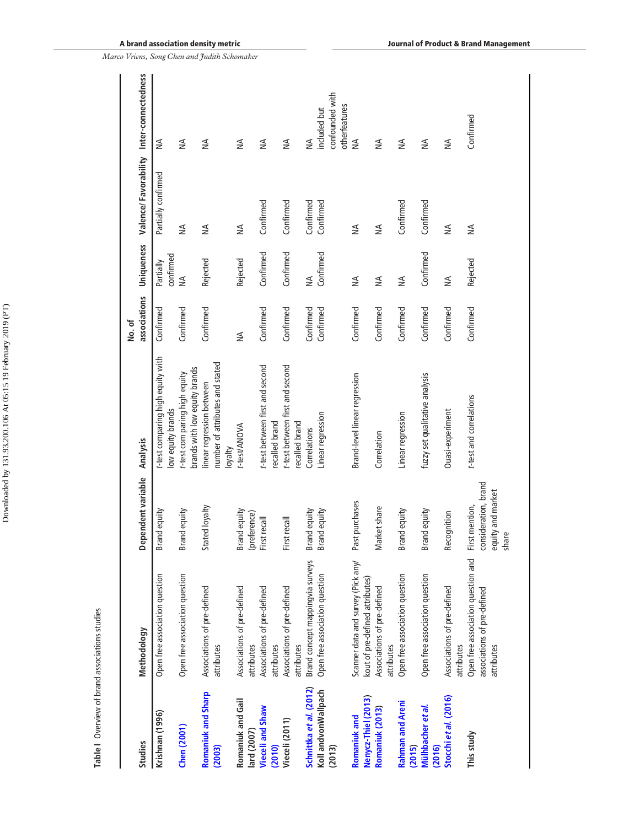Table | Overview of brand associations studies Table I Overview of brand associations studies

<span id="page-4-0"></span>

|                                                |                                                                                 |                                                                      |                                                                | No.of                  |                        |                                                     |                                  |
|------------------------------------------------|---------------------------------------------------------------------------------|----------------------------------------------------------------------|----------------------------------------------------------------|------------------------|------------------------|-----------------------------------------------------|----------------------------------|
| Studies                                        | Methodology                                                                     | Dependent variable Analysis                                          |                                                                | associations           |                        | Uniqueness Valence/Favorability Inter-connectedness |                                  |
| Krishnan (1996)                                | Open free association question                                                  | Brand equity                                                         | t-test comparing high equity with<br>low equity brands         | Confirmed              | confirmed<br>Partially | Partially confirmed                                 | ≸                                |
| Chen (2001)                                    | Open free association question                                                  | Brand equity                                                         | brands with low equity brands<br>t-test com paring high equity | Confirmed              | $\frac{4}{2}$          | $\widetilde{\geq}$                                  | ≸                                |
| <b>Romaniuk and Sharp</b><br>(2003)            | Associations of pre-defined<br>attributes                                       | Stated loyalty                                                       | number of attributes and stated<br>linear regression between   | Confirmed              | Rejected               | ₹                                                   | $\frac{4}{2}$                    |
|                                                |                                                                                 |                                                                      | loyalty                                                        |                        |                        |                                                     |                                  |
| Romaniuk and Gail<br>lard (2007)               | Associations of pre-defined<br>attributes                                       | Brand equity<br>(preference)                                         | t-test/ANOVA                                                   | ₹                      | Rejected               | ≸                                                   | ₹                                |
| <b>Vieceli and Shaw</b><br>(2010)              | Associations of pre-defined<br>attributes                                       | First recall                                                         | t-test between first and second<br>recalled brand              | Confirmed              | Confirmed              | Confirmed                                           | ≸                                |
| Vieceli (2011)                                 | Associations of pre-defined                                                     | First recall                                                         | t-test between first and second                                | Confirmed              | Confirmed              | Confirmed                                           | $\frac{4}{2}$                    |
|                                                | attributes                                                                      |                                                                      | recalled brand                                                 |                        |                        |                                                     |                                  |
| Schnittka et al. (2012)<br>Koll andvonWallpach | Brand concept mappingvia surveys<br>Open free association question              | Brand equity<br>Brand equity                                         | Linear regression<br>Correlations                              | Confirmed<br>Confirmed | Confirmed<br>≸         | Confirmed<br>Confirmed                              | included but<br>≸                |
| (2013)                                         |                                                                                 |                                                                      |                                                                |                        |                        |                                                     | confounded with<br>otherfeatures |
| Romaniuk and                                   | Scanner data and survey (Pick any/                                              | Past purchases                                                       | Brand-level linear regression                                  | Confirmed              | ₹                      | $\frac{4}{2}$                                       | $\widetilde{\geq}$               |
| Nenycz-Thiel (2013)                            | kout of pre-defined attributes)                                                 |                                                                      |                                                                |                        |                        |                                                     |                                  |
| Romaniuk (2013)                                | Associations of pre-defined<br>attributes                                       | Market share                                                         | Correlation                                                    | Confirmed              | ≨                      | $\frac{4}{2}$                                       | ≸                                |
| Rahman and Areni<br>(2015)                     | Open free association question                                                  | Brand equity                                                         | Linear regression                                              | Confirmed              | ≸                      | Confirmed                                           | ≸                                |
| Mülhbacher et al.<br>(2016)                    | Open free association question                                                  | Brand equity                                                         | fuzzy set qualitative analysis                                 | Confirmed              | Confirmed              | Confirmed                                           | ≸                                |
| Stocchi et al. (2016)                          | Associations of pre-defined<br>attributes                                       | Recognition                                                          | Ouasi-experiment                                               | Confirmed              | ≨                      | $\widetilde{\geq}$                                  | ≨                                |
| This study                                     | Open free association question and<br>associations of pre-defined<br>attributes | consideration, brand<br>equity and market<br>First mention,<br>share | t-test and correlations                                        | Confirmed              | Rejected               | $\frac{4}{2}$                                       | Confirmed                        |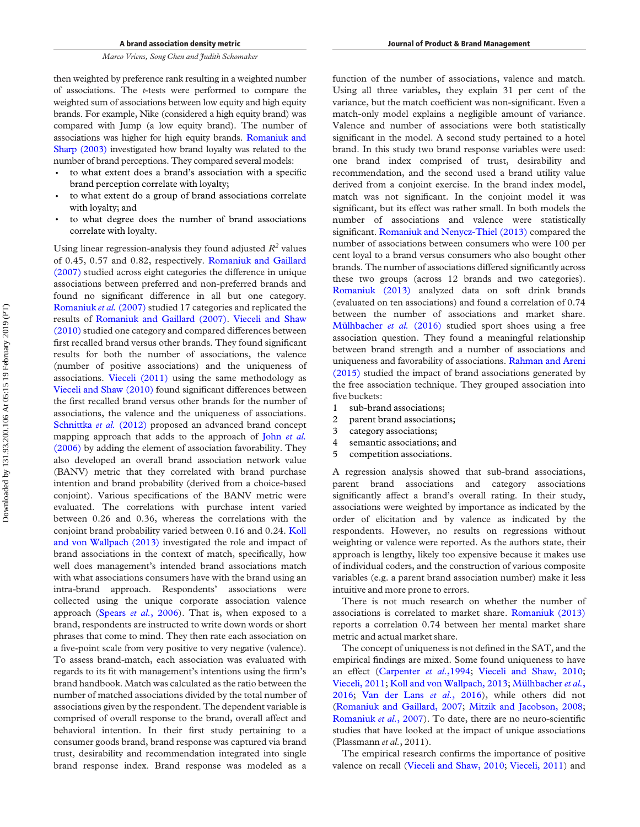then weighted by preference rank resulting in a weighted number of associations. The t-tests were performed to compare the weighted sum of associations between low equity and high equity brands. For example, Nike (considered a high equity brand) was compared with Jump (a low equity brand). The number of associations was higher for high equity brands. [Romaniuk and](#page-12-16) [Sharp \(2003\)](#page-12-16) investigated how brand loyalty was related to the number of brand perceptions. They compared several models:

- to what extent does a brand's association with a specific brand perception correlate with loyalty;
- to what extent do a group of brand associations correlate with loyalty; and
- to what degree does the number of brand associations correlate with loyalty.

Using linear regression-analysis they found adjusted  $R^2$  values of 0.45, 0.57 and 0.82, respectively. [Romaniuk and Gaillard](#page-12-23) [\(2007\)](#page-12-23) studied across eight categories the difference in unique associations between preferred and non-preferred brands and found no significant difference in all but one category. [Romaniuk](#page-12-24) et al. (2007) studied 17 categories and replicated the results of [Romaniuk and Gaillard \(2007\)](#page-12-23). [Vieceli and Shaw](#page-12-17) [\(2010\)](#page-12-17) studied one category and compared differences between first recalled brand versus other brands. They found significant results for both the number of associations, the valence (number of positive associations) and the uniqueness of associations. [Vieceli \(2011\)](#page-12-25) using the same methodology as [Vieceli and Shaw \(2010\)](#page-12-17) found significant differences between the first recalled brand versus other brands for the number of associations, the valence and the uniqueness of associations. [Schnittka](#page-12-18) et al. (2012) proposed an advanced brand concept mapping approach that adds to the approach of John [et al.](#page-11-25) [\(2006\)](#page-11-25) by adding the element of association favorability. They also developed an overall brand association network value (BANV) metric that they correlated with brand purchase intention and brand probability (derived from a choice-based conjoint). Various specifications of the BANV metric were evaluated. The correlations with purchase intent varied between 0.26 and 0.36, whereas the correlations with the conjoint brand probability varied between 0.16 and 0.24. [Koll](#page-11-29) [and von Wallpach \(2013\)](#page-11-29) investigated the role and impact of brand associations in the context of match, specifically, how well does management's intended brand associations match with what associations consumers have with the brand using an intra-brand approach. Respondents' associations were collected using the unique corporate association valence approach (Spears et al.[, 2006\)](#page-12-26). That is, when exposed to a brand, respondents are instructed to write down words or short phrases that come to mind. They then rate each association on a five-point scale from very positive to very negative (valence). To assess brand-match, each association was evaluated with regards to its fit with management's intentions using the firm's brand handbook. Match was calculated as the ratio between the number of matched associations divided by the total number of associations given by the respondent. The dependent variable is comprised of overall response to the brand, overall affect and behavioral intention. In their first study pertaining to a consumer goods brand, brand response was captured via brand trust, desirability and recommendation integrated into single brand response index. Brand response was modeled as a

function of the number of associations, valence and match. Using all three variables, they explain 31 per cent of the variance, but the match coefficient was non-significant. Even a match-only model explains a negligible amount of variance. Valence and number of associations were both statistically significant in the model. A second study pertained to a hotel brand. In this study two brand response variables were used: one brand index comprised of trust, desirability and recommendation, and the second used a brand utility value derived from a conjoint exercise. In the brand index model, match was not significant. In the conjoint model it was significant, but its effect was rather small. In both models the number of associations and valence were statistically significant. [Romaniuk and Nenycz-Thiel \(2013\)](#page-12-19) compared the number of associations between consumers who were 100 per cent loyal to a brand versus consumers who also bought other brands. The number of associations differed significantly across these two groups (across 12 brands and two categories). [Romaniuk \(2013\)](#page-12-20) analyzed data on soft drink brands (evaluated on ten associations) and found a correlation of 0.74 between the number of associations and market share. [Mülhbacher](#page-11-28) et al. (2016) studied sport shoes using a free association question. They found a meaningful relationship between brand strength and a number of associations and uniqueness and favorability of associations. [Rahman and Areni](#page-12-21) [\(2015\)](#page-12-21) studied the impact of brand associations generated by the free association technique. They grouped association into five buckets:

- 1 sub-brand associations;
- 2 parent brand associations;
- 3 category associations;
- 4 semantic associations; and
- 5 competition associations.

A regression analysis showed that sub-brand associations, parent brand associations and category associations significantly affect a brand's overall rating. In their study, associations were weighted by importance as indicated by the order of elicitation and by valence as indicated by the respondents. However, no results on regressions without weighting or valence were reported. As the authors state, their approach is lengthy, likely too expensive because it makes use of individual coders, and the construction of various composite variables (e.g. a parent brand association number) make it less intuitive and more prone to errors.

There is not much research on whether the number of associations is correlated to market share. [Romaniuk \(2013\)](#page-12-20) reports a correlation 0.74 between her mental market share metric and actual market share.

The concept of uniqueness is not defined in the SAT, and the empirical findings are mixed. Some found uniqueness to have an effect [\(Carpenter](#page-10-11) et al., 1994; [Vieceli and Shaw, 2010](#page-12-17); [Vieceli, 2011](#page-12-25); [Koll and von Wallpach, 2013;](#page-11-29) [Mülhbacher](#page-11-28) et al., [2016;](#page-11-28) [Van der Lans](#page-12-27) et al., 2016), while others did not [\(Romaniuk and Gaillard, 2007;](#page-12-23) [Mitzik and Jacobson, 2008](#page-11-3); [Romaniuk](#page-12-24) et al., 2007). To date, there are no neuro-scientific studies that have looked at the impact of unique associations (Plassmann et al., 2011).

The empirical research confirms the importance of positive valence on recall [\(Vieceli and Shaw, 2010;](#page-12-17) [Vieceli, 2011](#page-12-25)) and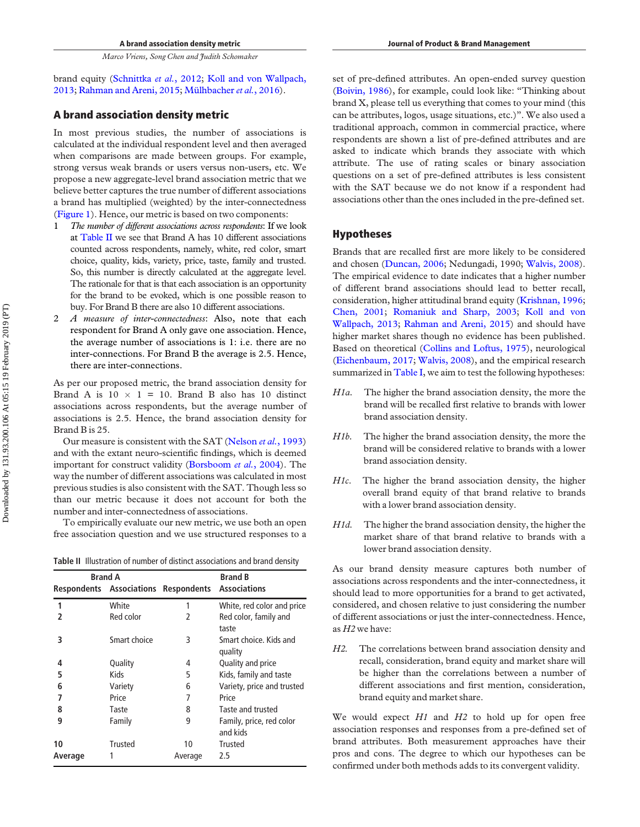brand equity ([Schnittka](#page-12-18) et al., 2012; [Koll and von Wallpach,](#page-11-29) [2013;](#page-11-29) [Rahman and Areni, 2015](#page-12-21); [Mülhbacher](#page-11-28) et al., 2016).

#### A brand association density metric

In most previous studies, the number of associations is calculated at the individual respondent level and then averaged when comparisons are made between groups. For example, strong versus weak brands or users versus non-users, etc. We propose a new aggregate-level brand association metric that we believe better captures the true number of different associations a brand has multiplied (weighted) by the inter-connectedness [\(Figure 1](#page-3-0)). Hence, our metric is based on two components:

- 1 The number of different associations across respondents: If we look at [Table II](#page-6-0) we see that Brand A has 10 different associations counted across respondents, namely, white, red color, smart choice, quality, kids, variety, price, taste, family and trusted. So, this number is directly calculated at the aggregate level. The rationale for that is that each association is an opportunity for the brand to be evoked, which is one possible reason to buy. For Brand B there are also 10 different associations.
- 2 *A* measure of inter-connectedness: Also, note that each respondent for Brand A only gave one association. Hence, the average number of associations is 1: i.e. there are no inter-connections. For Brand B the average is 2.5. Hence, there are inter-connections.

As per our proposed metric, the brand association density for Brand A is  $10 \times 1 = 10$ . Brand B also has 10 distinct associations across respondents, but the average number of associations is 2.5. Hence, the brand association density for Brand B is 25.

Our measure is consistent with the SAT [\(Nelson](#page-11-9) et al., 1993) and with the extant neuro-scientific findings, which is deemed important for construct validity [\(Borsboom](#page-10-12) et al., 2004). The way the number of different associations was calculated in most previous studies is also consistent with the SAT. Though less so than our metric because it does not account for both the number and inter-connectedness of associations.

To empirically evaluate our new metric, we use both an open free association question and we use structured responses to a

<span id="page-6-0"></span>Table II Illustration of number of distinct associations and brand density

| <b>Brand A</b> |              |                                                   | <b>Brand B</b>                       |
|----------------|--------------|---------------------------------------------------|--------------------------------------|
|                |              | Respondents Associations Respondents Associations |                                      |
| 1              | White        | 1                                                 | White, red color and price           |
| 2              | Red color    | 2                                                 | Red color, family and<br>taste       |
| 3              | Smart choice | 3                                                 | Smart choice. Kids and<br>quality    |
| 4              | Quality      | 4                                                 | Quality and price                    |
| 5              | <b>Kids</b>  | 5                                                 | Kids, family and taste               |
| 6              | Variety      | 6                                                 | Variety, price and trusted           |
| 7              | Price        | 7                                                 | Price                                |
| 8              | Taste        | 8                                                 | Taste and trusted                    |
| 9              | Family       | 9                                                 | Family, price, red color<br>and kids |
| 10             | Trusted      | 10                                                | <b>Trusted</b>                       |
| Average        |              | Average                                           | 2.5                                  |

set of pre-defined attributes. An open-ended survey question [\(Boivin, 1986](#page-10-13)), for example, could look like: "Thinking about brand X, please tell us everything that comes to your mind (this can be attributes, logos, usage situations, etc.)". We also used a traditional approach, common in commercial practice, where respondents are shown a list of pre-defined attributes and are asked to indicate which brands they associate with which attribute. The use of rating scales or binary association questions on a set of pre-defined attributes is less consistent with the SAT because we do not know if a respondent had associations other than the ones included in the pre-defined set.

#### Hypotheses

Brands that are recalled first are more likely to be considered and chosen ([Duncan, 2006;](#page-11-14) Nedungadi, 1990; [Walvis, 2008\)](#page-13-1). The empirical evidence to date indicates that a higher number of different brand associations should lead to better recall, consideration, higher attitudinal brand equity [\(Krishnan, 1996](#page-11-27); [Chen, 2001](#page-10-10); [Romaniuk and Sharp, 2003](#page-12-16); [Koll and von](#page-11-29) [Wallpach, 2013](#page-11-29); [Rahman and Areni, 2015](#page-12-21)) and should have higher market shares though no evidence has been published. Based on theoretical [\(Collins and Loftus, 1975\)](#page-11-8), neurological [\(Eichenbaum, 2017;](#page-11-15) [Walvis, 2008\)](#page-13-1), and the empirical research summarized in [Table I](#page-4-0), we aim to test the following hypotheses:

- H1a. The higher the brand association density, the more the brand will be recalled first relative to brands with lower brand association density.
- H1b. The higher the brand association density, the more the brand will be considered relative to brands with a lower brand association density.
- H1c. The higher the brand association density, the higher overall brand equity of that brand relative to brands with a lower brand association density.
- H1d. The higher the brand association density, the higher the market share of that brand relative to brands with a lower brand association density.

As our brand density measure captures both number of associations across respondents and the inter-connectedness, it should lead to more opportunities for a brand to get activated, considered, and chosen relative to just considering the number of different associations or just the inter-connectedness. Hence, as  $H2$  we have:

H2. The correlations between brand association density and recall, consideration, brand equity and market share will be higher than the correlations between a number of different associations and first mention, consideration, brand equity and market share.

We would expect  $H1$  and  $H2$  to hold up for open free association responses and responses from a pre-defined set of brand attributes. Both measurement approaches have their pros and cons. The degree to which our hypotheses can be confirmed under both methods adds to its convergent validity.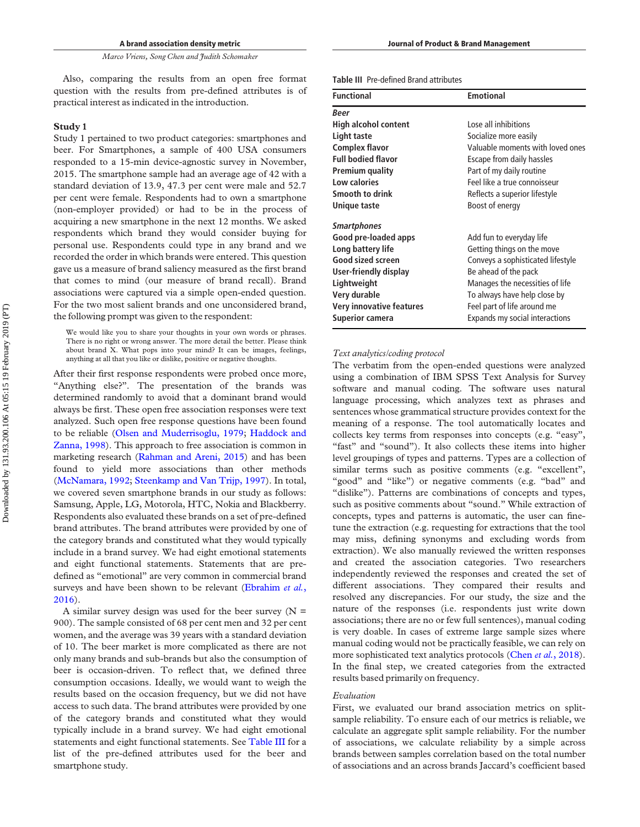Also, comparing the results from an open free format question with the results from pre-defined attributes is of practical interest as indicated in the introduction.

#### Study 1

Study 1 pertained to two product categories: smartphones and beer. For Smartphones, a sample of 400 USA consumers responded to a 15-min device-agnostic survey in November, 2015. The smartphone sample had an average age of 42 with a standard deviation of 13.9, 47.3 per cent were male and 52.7 per cent were female. Respondents had to own a smartphone (non-employer provided) or had to be in the process of acquiring a new smartphone in the next 12 months. We asked respondents which brand they would consider buying for personal use. Respondents could type in any brand and we recorded the order in which brands were entered. This question gave us a measure of brand saliency measured as the first brand that comes to mind (our measure of brand recall). Brand associations were captured via a simple open-ended question. For the two most salient brands and one unconsidered brand, the following prompt was given to the respondent:

We would like you to share your thoughts in your own words or phrases. There is no right or wrong answer. The more detail the better. Please think about brand X. What pops into your mind? It can be images, feelings, anything at all that you like or dislike, positive or negative thoughts.

After their first response respondents were probed once more, "Anything else?". The presentation of the brands was determined randomly to avoid that a dominant brand would always be first. These open free association responses were text analyzed. Such open free response questions have been found to be reliable ([Olsen and Muderrisoglu, 1979](#page-12-28); [Haddock and](#page-11-30) [Zanna, 1998\)](#page-11-30). This approach to free association is common in marketing research ([Rahman and Areni, 2015\)](#page-12-21) and has been found to yield more associations than other methods [\(McNamara, 1992;](#page-11-22) [Steenkamp and Van Trijp, 1997\)](#page-12-29). In total, we covered seven smartphone brands in our study as follows: Samsung, Apple, LG, Motorola, HTC, Nokia and Blackberry. Respondents also evaluated these brands on a set of pre-defined brand attributes. The brand attributes were provided by one of the category brands and constituted what they would typically include in a brand survey. We had eight emotional statements and eight functional statements. Statements that are predefined as "emotional" are very common in commercial brand surveys and have been shown to be relevant [\(Ebrahim](#page-11-31) et al., [2016\)](#page-11-31).

A similar survey design was used for the beer survey  $(N =$ 900). The sample consisted of 68 per cent men and 32 per cent women, and the average was 39 years with a standard deviation of 10. The beer market is more complicated as there are not only many brands and sub-brands but also the consumption of beer is occasion-driven. To reflect that, we defined three consumption occasions. Ideally, we would want to weigh the results based on the occasion frequency, but we did not have access to such data. The brand attributes were provided by one of the category brands and constituted what they would typically include in a brand survey. We had eight emotional statements and eight functional statements. See [Table III](#page-7-0) for a list of the pre-defined attributes used for the beer and smartphone study.

<span id="page-7-0"></span>Table III Pre-defined Brand attributes

| <b>Functional</b>               | <b>Emotional</b>                  |
|---------------------------------|-----------------------------------|
| Reer                            |                                   |
| High alcohol content            | Lose all inhibitions              |
| Light taste                     | Socialize more easily             |
| <b>Complex flavor</b>           | Valuable moments with loved ones  |
| <b>Full bodied flavor</b>       | Escape from daily hassles         |
| <b>Premium quality</b>          | Part of my daily routine          |
| Low calories                    | Feel like a true connoisseur      |
| Smooth to drink                 | Reflects a superior lifestyle     |
| Unique taste                    | Boost of energy                   |
| <b>Smartphones</b>              |                                   |
| Good pre-loaded apps            | Add fun to everyday life          |
| Long battery life               | Getting things on the move        |
| <b>Good sized screen</b>        | Conveys a sophisticated lifestyle |
| User-friendly display           | Be ahead of the pack              |
| Lightweight                     | Manages the necessities of life   |
| Very durable                    | To always have help close by      |
| <b>Very innovative features</b> | Feel part of life around me       |
| <b>Superior camera</b>          | Expands my social interactions    |

#### Text analytics/coding protocol

The verbatim from the open-ended questions were analyzed using a combination of IBM SPSS Text Analysis for Survey software and manual coding. The software uses natural language processing, which analyzes text as phrases and sentences whose grammatical structure provides context for the meaning of a response. The tool automatically locates and collects key terms from responses into concepts (e.g. "easy", "fast" and "sound"). It also collects these items into higher level groupings of types and patterns. Types are a collection of similar terms such as positive comments (e.g. "excellent", "good" and "like") or negative comments (e.g. "bad" and "dislike"). Patterns are combinations of concepts and types, such as positive comments about "sound." While extraction of concepts, types and patterns is automatic, the user can finetune the extraction (e.g. requesting for extractions that the tool may miss, defining synonyms and excluding words from extraction). We also manually reviewed the written responses and created the association categories. Two researchers independently reviewed the responses and created the set of different associations. They compared their results and resolved any discrepancies. For our study, the size and the nature of the responses (i.e. respondents just write down associations; there are no or few full sentences), manual coding is very doable. In cases of extreme large sample sizes where manual coding would not be practically feasible, we can rely on more sophisticated text analytics protocols (Chen et al.[, 2018\)](#page-10-14). In the final step, we created categories from the extracted results based primarily on frequency.

#### Evaluation

First, we evaluated our brand association metrics on splitsample reliability. To ensure each of our metrics is reliable, we calculate an aggregate split sample reliability. For the number of associations, we calculate reliability by a simple across brands between samples correlation based on the total number of associations and an across brands Jaccard's coefficient based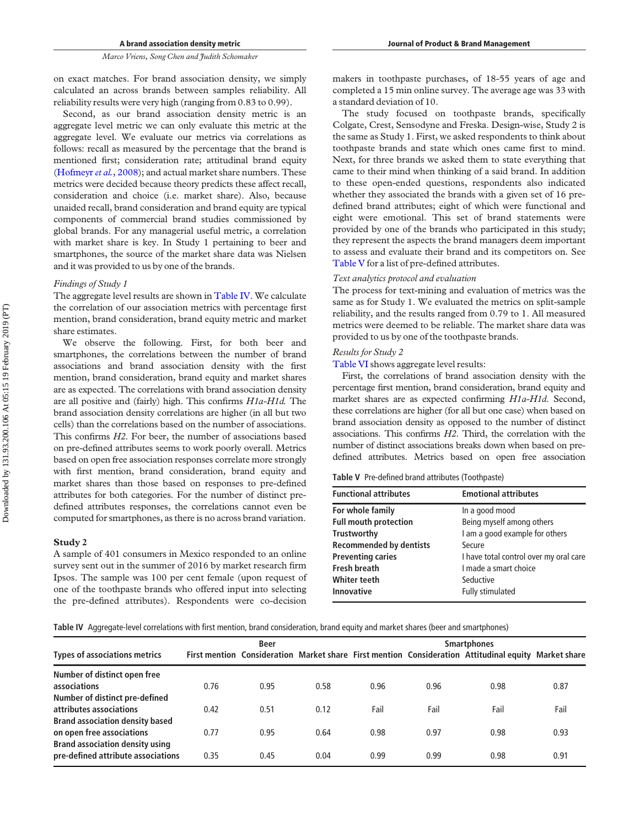on exact matches. For brand association density, we simply calculated an across brands between samples reliability. All reliability results were very high (ranging from 0.83 to 0.99).

Second, as our brand association density metric is an aggregate level metric we can only evaluate this metric at the aggregate level. We evaluate our metrics via correlations as follows: recall as measured by the percentage that the brand is mentioned first; consideration rate; attitudinal brand equity [\(Hofmeyr](#page-11-19) et al., 2008); and actual market share numbers. These metrics were decided because theory predicts these affect recall, consideration and choice (i.e. market share). Also, because unaided recall, brand consideration and brand equity are typical components of commercial brand studies commissioned by global brands. For any managerial useful metric, a correlation with market share is key. In Study 1 pertaining to beer and smartphones, the source of the market share data was Nielsen and it was provided to us by one of the brands.

#### Findings of Study 1

The aggregate level results are shown in [Table IV](#page-8-0). We calculate the correlation of our association metrics with percentage first mention, brand consideration, brand equity metric and market share estimates.

We observe the following. First, for both beer and smartphones, the correlations between the number of brand associations and brand association density with the first mention, brand consideration, brand equity and market shares are as expected. The correlations with brand association density are all positive and (fairly) high. This confirms  $H1a-H1d$ . The brand association density correlations are higher (in all but two cells) than the correlations based on the number of associations. This confirms H2. For beer, the number of associations based on pre-defined attributes seems to work poorly overall. Metrics based on open free association responses correlate more strongly with first mention, brand consideration, brand equity and market shares than those based on responses to pre-defined attributes for both categories. For the number of distinct predefined attributes responses, the correlations cannot even be computed for smartphones, as there is no across brand variation.

#### Study 2

A sample of 401 consumers in Mexico responded to an online survey sent out in the summer of 2016 by market research firm Ipsos. The sample was 100 per cent female (upon request of one of the toothpaste brands who offered input into selecting the pre-defined attributes). Respondents were co-decision makers in toothpaste purchases, of 18-55 years of age and completed a 15 min online survey. The average age was 33 with a standard deviation of 10.

The study focused on toothpaste brands, specifically Colgate, Crest, Sensodyne and Freska. Design-wise, Study 2 is the same as Study 1. First, we asked respondents to think about toothpaste brands and state which ones came first to mind. Next, for three brands we asked them to state everything that came to their mind when thinking of a said brand. In addition to these open-ended questions, respondents also indicated whether they associated the brands with a given set of 16 predefined brand attributes; eight of which were functional and eight were emotional. This set of brand statements were provided by one of the brands who participated in this study; they represent the aspects the brand managers deem important to assess and evaluate their brand and its competitors on. See [Table V](#page-8-1) for a list of pre-defined attributes.

#### Text analytics protocol and evaluation

The process for text-mining and evaluation of metrics was the same as for Study 1. We evaluated the metrics on split-sample reliability, and the results ranged from 0.79 to 1. All measured metrics were deemed to be reliable. The market share data was provided to us by one of the toothpaste brands.

#### Results for Study 2

[Table VI](#page-9-0) shows aggregate level results:

First, the correlations of brand association density with the percentage first mention, brand consideration, brand equity and market shares are as expected confirming H1a-H1d. Second, these correlations are higher (for all but one case) when based on brand association density as opposed to the number of distinct associations. This confirms H2. Third, the correlation with the number of distinct associations breaks down when based on predefined attributes. Metrics based on open free association

<span id="page-8-1"></span>

|  |  | Table V Pre-defined brand attributes (Toothpaste) |  |
|--|--|---------------------------------------------------|--|
|--|--|---------------------------------------------------|--|

| <b>Functional attributes</b>   | <b>Emotional attributes</b>            |
|--------------------------------|----------------------------------------|
| For whole family               | In a good mood                         |
| <b>Full mouth protection</b>   | Being myself among others              |
| <b>Trustworthy</b>             | I am a good example for others         |
| <b>Recommended by dentists</b> | Secure                                 |
| <b>Preventing caries</b>       | I have total control over my oral care |
| <b>Fresh breath</b>            | I made a smart choice                  |
| <b>Whiter teeth</b>            | Seductive                              |
| Innovative                     | <b>Fully stimulated</b>                |

<span id="page-8-0"></span>Table IV Aggregate-level correlations with first mention, brand consideration, brand equity and market shares (beer and smartphones)

|                                        | <b>Beer</b> |      |      | <b>Smartphones</b> |      |                                                                                                      |      |
|----------------------------------------|-------------|------|------|--------------------|------|------------------------------------------------------------------------------------------------------|------|
| <b>Types of associations metrics</b>   |             |      |      |                    |      | First mention Consideration Market share First mention Consideration Attitudinal equity Market share |      |
| Number of distinct open free           |             |      |      |                    |      |                                                                                                      |      |
| associations                           | 0.76        | 0.95 | 0.58 | 0.96               | 0.96 | 0.98                                                                                                 | 0.87 |
| Number of distinct pre-defined         |             |      |      |                    |      |                                                                                                      |      |
| attributes associations                | 0.42        | 0.51 | 0.12 | Fail               | Fail | Fail                                                                                                 | Fail |
| <b>Brand association density based</b> |             |      |      |                    |      |                                                                                                      |      |
| on open free associations              | 0.77        | 0.95 | 0.64 | 0.98               | 0.97 | 0.98                                                                                                 | 0.93 |
| <b>Brand association density using</b> |             |      |      |                    |      |                                                                                                      |      |
| pre-defined attribute associations     | 0.35        | 0.45 | 0.04 | 0.99               | 0.99 | 0.98                                                                                                 | 0.91 |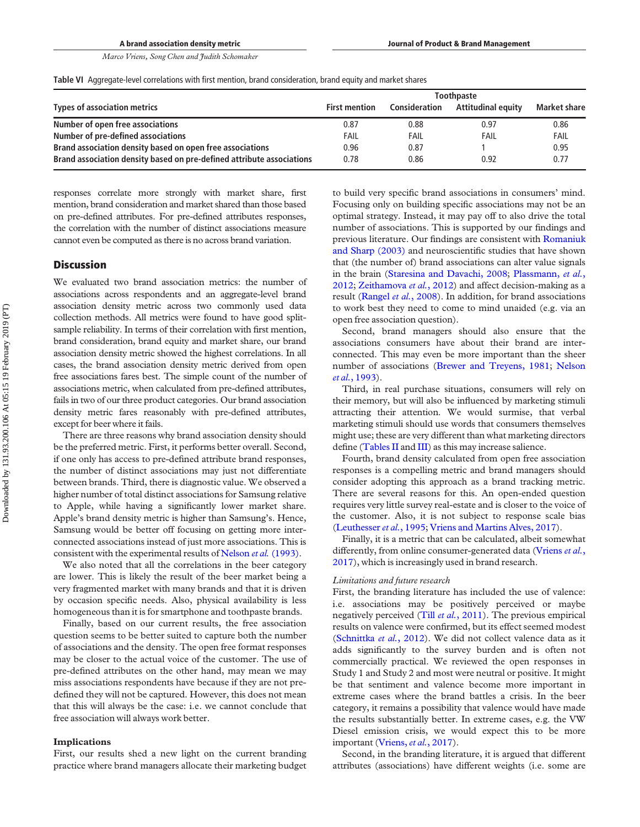#### A brand association density metric

Marco Vriens, Song Chen and Judith Schomaker

<span id="page-9-0"></span>Table VI Aggregate-level correlations with first mention, brand consideration, brand equity and market shares

|                                                                       | <b>Toothpaste</b>    |               |                           |                     |  |  |  |
|-----------------------------------------------------------------------|----------------------|---------------|---------------------------|---------------------|--|--|--|
| <b>Types of association metrics</b>                                   | <b>First mention</b> | Consideration | <b>Attitudinal equity</b> | <b>Market share</b> |  |  |  |
| Number of open free associations                                      | 0.87                 | 0.88          | 0.97                      | 0.86                |  |  |  |
| Number of pre-defined associations                                    | FAIL                 | FAIL          | FAIL                      | <b>FAIL</b>         |  |  |  |
| Brand association density based on open free associations             | 0.96                 | 0.87          |                           | 0.95                |  |  |  |
| Brand association density based on pre-defined attribute associations | 0.78                 | 0.86          | 0.92                      | 0.77                |  |  |  |

responses correlate more strongly with market share, first mention, brand consideration and market shared than those based on pre-defined attributes. For pre-defined attributes responses, the correlation with the number of distinct associations measure cannot even be computed as there is no across brand variation.

#### **Discussion**

We evaluated two brand association metrics: the number of associations across respondents and an aggregate-level brand association density metric across two commonly used data collection methods. All metrics were found to have good splitsample reliability. In terms of their correlation with first mention, brand consideration, brand equity and market share, our brand association density metric showed the highest correlations. In all cases, the brand association density metric derived from open free associations fares best. The simple count of the number of associations metric, when calculated from pre-defined attributes, fails in two of our three product categories. Our brand association density metric fares reasonably with pre-defined attributes, except for beer where it fails.

There are three reasons why brand association density should be the preferred metric. First, it performs better overall. Second, if one only has access to pre-defined attribute brand responses, the number of distinct associations may just not differentiate between brands. Third, there is diagnostic value. We observed a higher number of total distinct associations for Samsung relative to Apple, while having a significantly lower market share. Apple's brand density metric is higher than Samsung's. Hence, Samsung would be better off focusing on getting more interconnected associations instead of just more associations. This is consistent with the experimental results of [Nelson](#page-11-9) et al. (1993).

We also noted that all the correlations in the beer category are lower. This is likely the result of the beer market being a very fragmented market with many brands and that it is driven by occasion specific needs. Also, physical availability is less homogeneous than it is for smartphone and toothpaste brands.

Finally, based on our current results, the free association question seems to be better suited to capture both the number of associations and the density. The open free format responses may be closer to the actual voice of the customer. The use of pre-defined attributes on the other hand, may mean we may miss associations respondents have because if they are not predefined they will not be captured. However, this does not mean that this will always be the case: i.e. we cannot conclude that free association will always work better.

#### **Implications**

First, our results shed a new light on the current branding practice where brand managers allocate their marketing budget to build very specific brand associations in consumers' mind. Focusing only on building specific associations may not be an optimal strategy. Instead, it may pay off to also drive the total number of associations. This is supported by our findings and previous literature. Our findings are consistent with [Romaniuk](#page-12-16) [and Sharp \(2003\)](#page-12-16) and neuroscientific studies that have shown that (the number of) brand associations can alter value signals in the brain ([Staresina and Davachi, 2008](#page-12-12); [Plassmann,](#page-12-30) et al., [2012;](#page-12-30) [Zeithamova](#page-13-4) et al., 2012) and affect decision-making as a result [\(Rangel](#page-12-15) et al., 2008). In addition, for brand associations to work best they need to come to mind unaided (e.g. via an open free association question).

Second, brand managers should also ensure that the associations consumers have about their brand are interconnected. This may even be more important than the sheer number of associations [\(Brewer and Treyens, 1981;](#page-10-9) [Nelson](#page-11-9) et al.[, 1993](#page-11-9)).

Third, in real purchase situations, consumers will rely on their memory, but will also be influenced by marketing stimuli attracting their attention. We would surmise, that verbal marketing stimuli should use words that consumers themselves might use; these are very different than what marketing directors define ([Tables II](#page-6-0) and [III\)](#page-7-0) as this may increase salience.

Fourth, brand density calculated from open free association responses is a compelling metric and brand managers should consider adopting this approach as a brand tracking metric. There are several reasons for this. An open-ended question requires very little survey real-estate and is closer to the voice of the customer. Also, it is not subject to response scale bias [\(Leuthesser](#page-11-32) et al., 1995; [Vriens and Martins Alves, 2017](#page-12-2)).

Finally, it is a metric that can be calculated, albeit somewhat differently, from online consumer-generated data ([Vriens](#page-13-5) et al., [2017\)](#page-13-5), which is increasingly used in brand research.

#### Limitations and future research

First, the branding literature has included the use of valence: i.e. associations may be positively perceived or maybe negatively perceived (Till et al.[, 2011\)](#page-12-31). The previous empirical results on valence were confirmed, but its effect seemed modest [\(Schnittka](#page-12-18) et al., 2012). We did not collect valence data as it adds significantly to the survey burden and is often not commercially practical. We reviewed the open responses in Study 1 and Study 2 and most were neutral or positive. It might be that sentiment and valence become more important in extreme cases where the brand battles a crisis. In the beer category, it remains a possibility that valence would have made the results substantially better. In extreme cases, e.g. the VW Diesel emission crisis, we would expect this to be more important ([Vriens,](#page-13-5) et al., 2017).

Second, in the branding literature, it is argued that different attributes (associations) have different weights (i.e. some are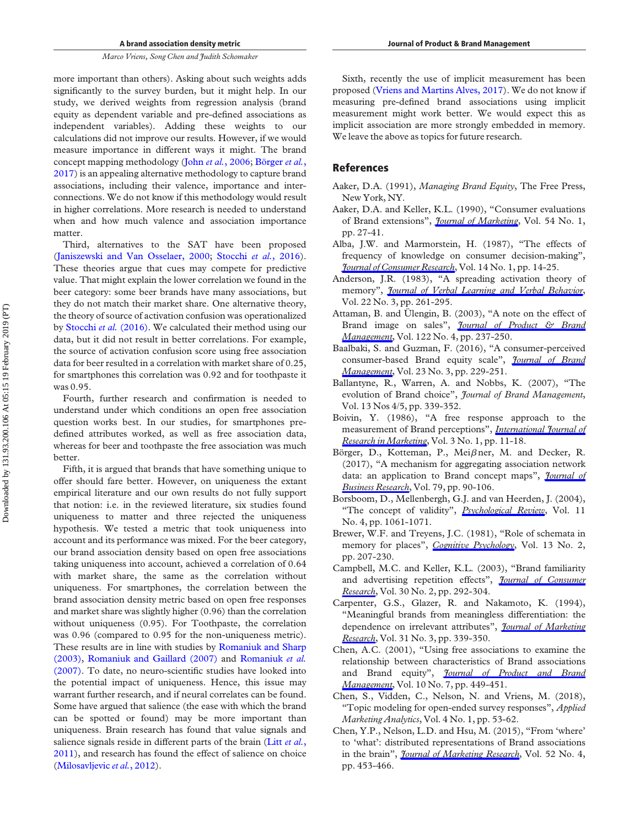A brand association density metric

Marco Vriens, Song Chen and Judith Schomaker

more important than others). Asking about such weights adds significantly to the survey burden, but it might help. In our study, we derived weights from regression analysis (brand equity as dependent variable and pre-defined associations as independent variables). Adding these weights to our calculations did not improve our results. However, if we would measure importance in different ways it might. The brand concept mapping methodology (John et al.[, 2006](#page-11-25); [Börger](#page-10-15) et al., [2017\)](#page-10-15) is an appealing alternative methodology to capture brand associations, including their valence, importance and interconnections. We do not know if this methodology would result in higher correlations. More research is needed to understand when and how much valence and association importance matter.

Third, alternatives to the SAT have been proposed [\(Janiszewski and Van Osselaer, 2000;](#page-11-10) [Stocchi](#page-12-22) et al., 2016). These theories argue that cues may compete for predictive value. That might explain the lower correlation we found in the beer category: some beer brands have many associations, but they do not match their market share. One alternative theory, the theory of source of activation confusion was operationalized by [Stocchi](#page-12-22) et al. (2016). We calculated their method using our data, but it did not result in better correlations. For example, the source of activation confusion score using free association data for beer resulted in a correlation with market share of 0.25, for smartphones this correlation was 0.92 and for toothpaste it was 0.95.

Fourth, further research and confirmation is needed to understand under which conditions an open free association question works best. In our studies, for smartphones predefined attributes worked, as well as free association data, whereas for beer and toothpaste the free association was much better.

Fifth, it is argued that brands that have something unique to offer should fare better. However, on uniqueness the extant empirical literature and our own results do not fully support that notion: i.e. in the reviewed literature, six studies found uniqueness to matter and three rejected the uniqueness hypothesis. We tested a metric that took uniqueness into account and its performance was mixed. For the beer category, our brand association density based on open free associations taking uniqueness into account, achieved a correlation of 0.64 with market share, the same as the correlation without uniqueness. For smartphones, the correlation between the brand association density metric based on open free responses and market share was slightly higher (0.96) than the correlation without uniqueness (0.95). For Toothpaste, the correlation was 0.96 (compared to 0.95 for the non-uniqueness metric). These results are in line with studies by [Romaniuk and Sharp](#page-12-16) [\(2003\)](#page-12-16), [Romaniuk and Gaillard \(2007\)](#page-12-23) and [Romaniuk](#page-12-24) et al. [\(2007\)](#page-12-24). To date, no neuro-scientific studies have looked into the potential impact of uniqueness. Hence, this issue may warrant further research, and if neural correlates can be found. Some have argued that salience (the ease with which the brand can be spotted or found) may be more important than uniqueness. Brain research has found that value signals and salience signals reside in different parts of the brain (Litt [et al.](#page-11-33), [2011\)](#page-11-33), and research has found the effect of salience on choice [\(Milosavljevic](#page-11-34) et al., 2012).

Sixth, recently the use of implicit measurement has been proposed [\(Vriens and Martins Alves, 2017\)](#page-12-2). We do not know if measuring pre-defined brand associations using implicit measurement might work better. We would expect this as implicit association are more strongly embedded in memory. We leave the above as topics for future research.

#### References

- <span id="page-10-3"></span>Aaker, D.A. (1991), Managing Brand Equity, The Free Press, New York, NY.
- <span id="page-10-0"></span>Aaker, D.A. and Keller, K.L. (1990), "Consumer evaluations of Brand extensions", *[Journal of Marketing](https://www.emeraldinsight.com/action/showLinks?doi=10.1108%2FJPBM-02-2018-1768&crossref=10.1177%2F002224299005400102&isi=A1990CJ55300002&citationId=p_2)*, Vol. 54 No. 1, pp. 27-41.
- <span id="page-10-7"></span>Alba, J.W. and Marmorstein, H. (1987), "The effects of frequency of knowledge on consumer decision-making", *<u>Fournal of Consumer Research, Vol. 14 No. 1, pp. 14-25.</u>*
- <span id="page-10-5"></span>Anderson, J.R. (1983), "A spreading activation theory of memory", *[Journal of Verbal Learning and Verbal Behavior](https://www.emeraldinsight.com/action/showLinks?doi=10.1108%2FJPBM-02-2018-1768&crossref=10.1016%2FS0022-5371%2883%2990201-3&citationId=p_4)*, Vol. 22 No. 3, pp. 261-295.
- <span id="page-10-2"></span>Attaman, B. and Ülengin, B. (2003), "A note on the effect of Brand image on sales", *[Journal of Product & Brand](https://www.emeraldinsight.com/action/showLinks?doi=10.1108%2FJPBM-02-2018-1768&system=10.1108%2F10610420310485041&citationId=p_5)* [Management](https://www.emeraldinsight.com/action/showLinks?doi=10.1108%2FJPBM-02-2018-1768&system=10.1108%2F10610420310485041&citationId=p_5), Vol. 122 No. 4, pp. 237-250.
- <span id="page-10-4"></span>Baalbaki, S. and Guzman, F. (2016), "A consumer-perceived consumer-based Brand equity scale", *[Journal of Brand](https://www.emeraldinsight.com/action/showLinks?doi=10.1108%2FJPBM-02-2018-1768&crossref=10.1057%2Fbm.2016.11&isi=000377437400001&citationId=p_6)* [Management](https://www.emeraldinsight.com/action/showLinks?doi=10.1108%2FJPBM-02-2018-1768&crossref=10.1057%2Fbm.2016.11&isi=000377437400001&citationId=p_6), Vol. 23 No. 3, pp. 229-251.
- <span id="page-10-8"></span>Ballantyne, R., Warren, A. and Nobbs, K. (2007), "The evolution of Brand choice", Journal of Brand Management, Vol. 13 Nos 4/5, pp. 339-352.
- <span id="page-10-13"></span>Boivin, Y. (1986), "A free response approach to the measurement of Brand perceptions", *International Yournal of* [Research in Marketing](https://www.emeraldinsight.com/action/showLinks?doi=10.1108%2FJPBM-02-2018-1768&crossref=10.1016%2F0167-8116%2886%2990039-X&citationId=p_8), Vol. 3 No. 1, pp. 11-18.
- <span id="page-10-15"></span>Börger, D., Kotteman, P., Mei $\beta$ ner, M. and Decker, R. (2017), "A mechanism for aggregating association network data: an application to Brand concept maps", *[Journal of](https://www.emeraldinsight.com/action/showLinks?doi=10.1108%2FJPBM-02-2018-1768&crossref=10.1016%2Fj.jbusres.2017.05.025&isi=000406983600009&citationId=p_9)* [Business Research](https://www.emeraldinsight.com/action/showLinks?doi=10.1108%2FJPBM-02-2018-1768&crossref=10.1016%2Fj.jbusres.2017.05.025&isi=000406983600009&citationId=p_9), Vol. 79, pp. 90-106.
- <span id="page-10-12"></span>Borsboom, D., Mellenbergh, G.J. and van Heerden, J. (2004), "The concept of validity", [Psychological Review](https://www.emeraldinsight.com/action/showLinks?doi=10.1108%2FJPBM-02-2018-1768&crossref=10.1037%2F0033-295X.111.4.1061&citationId=p_10), Vol. 11 No. 4, pp. 1061-1071.
- <span id="page-10-9"></span>Brewer, W.F. and Treyens, J.C. (1981), "Role of schemata in memory for places", [Cognitive Psychology](https://www.emeraldinsight.com/action/showLinks?doi=10.1108%2FJPBM-02-2018-1768&crossref=10.1016%2F0010-0285%2881%2990008-6&isi=A1981LL60100002&citationId=p_11), Vol. 13 No. 2, pp. 207-230.
- <span id="page-10-1"></span>Campbell, M.C. and Keller, K.L. (2003), "Brand familiarity and advertising repetition effects", *[Journal of Consumer](https://www.emeraldinsight.com/action/showLinks?doi=10.1108%2FJPBM-02-2018-1768&crossref=10.1086%2F376800&isi=000185215800010&citationId=p_12)* [Research](https://www.emeraldinsight.com/action/showLinks?doi=10.1108%2FJPBM-02-2018-1768&crossref=10.1086%2F376800&isi=000185215800010&citationId=p_12), Vol. 30 No. 2, pp. 292-304.
- <span id="page-10-11"></span>Carpenter, G.S., Glazer, R. and Nakamoto, K. (1994), "Meaningful brands from meaningless differentiation: the dependence on irrelevant attributes", *[Journal of Marketing](https://www.emeraldinsight.com/action/showLinks?doi=10.1108%2FJPBM-02-2018-1768&crossref=10.1177%2F002224379403100302&isi=A1994PA26000004&citationId=p_13)* [Research](https://www.emeraldinsight.com/action/showLinks?doi=10.1108%2FJPBM-02-2018-1768&crossref=10.1177%2F002224379403100302&isi=A1994PA26000004&citationId=p_13), Vol. 31 No. 3, pp. 339-350.
- <span id="page-10-10"></span>Chen, A.C. (2001), "Using free associations to examine the relationship between characteristics of Brand associations and Brand equity", *[Journal of Product and Brand](https://www.emeraldinsight.com/action/showLinks?doi=10.1108%2FJPBM-02-2018-1768&system=10.1108%2F10610420110410559&citationId=p_14)* [Management](https://www.emeraldinsight.com/action/showLinks?doi=10.1108%2FJPBM-02-2018-1768&system=10.1108%2F10610420110410559&citationId=p_14), Vol. 10 No. 7, pp. 449-451.
- <span id="page-10-14"></span>Chen, S., Vidden, C., Nelson, N. and Vriens, M. (2018), "Topic modeling for open-ended survey responses", Applied Marketing Analytics, Vol. 4 No. 1, pp. 53-62.
- <span id="page-10-6"></span>Chen, Y.P., Nelson, L.D. and Hsu, M. (2015), "From 'where' to 'what': distributed representations of Brand associations in the brain", *[Journal of Marketing Research](https://www.emeraldinsight.com/action/showLinks?doi=10.1108%2FJPBM-02-2018-1768&crossref=10.1509%2Fjmr.14.0606&isi=000359178800004&citationId=p_16)*, Vol. 52 No. 4, pp. 453-466.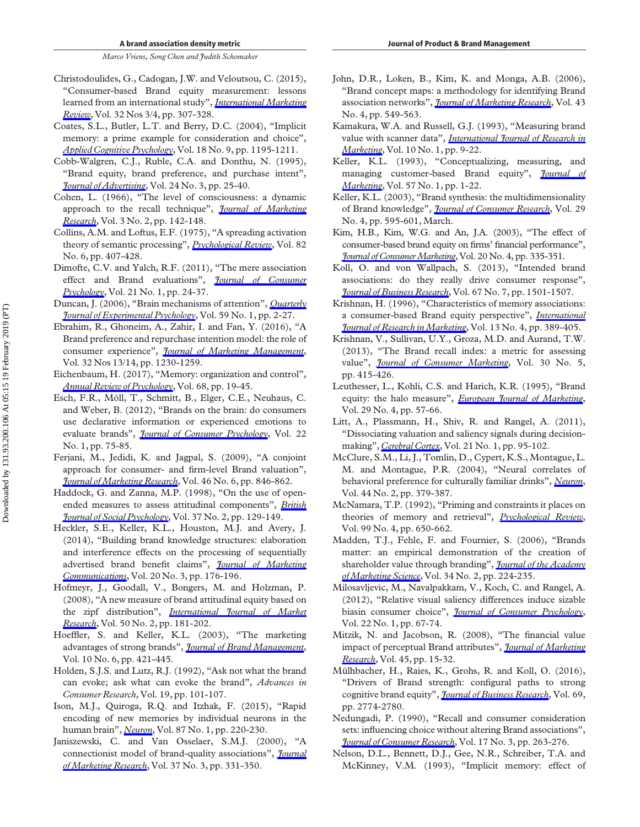- <span id="page-11-7"></span>Christodoulides, G., Cadogan, J.W. and Veloutsou, C. (2015), "Consumer-based Brand equity measurement: lessons learned from an international study", *[International Marketing](https://www.emeraldinsight.com/action/showLinks?doi=10.1108%2FJPBM-02-2018-1768&system=10.1108%2FIMR-10-2013-0242&isi=000356441500004&citationId=p_17)* [Review](https://www.emeraldinsight.com/action/showLinks?doi=10.1108%2FJPBM-02-2018-1768&system=10.1108%2FIMR-10-2013-0242&isi=000356441500004&citationId=p_17), Vol. 32 Nos 3/4, pp. 307-328.
- <span id="page-11-13"></span>Coates, S.L., Butler, L.T. and Berry, D.C. (2004), "Implicit memory: a prime example for consideration and choice", [Applied Cognitive Psychology](https://www.emeraldinsight.com/action/showLinks?doi=10.1108%2FJPBM-02-2018-1768&crossref=10.1002%2Facp.1044&isi=000226034000004&citationId=p_18), Vol. 18 No. 9, pp. 1195-1211.
- <span id="page-11-1"></span>Cobb-Walgren, C.J., Ruble, C.A. and Donthu, N. (1995), "Brand equity, brand preference, and purchase intent", *<u>Fournal of Advertising</u>*, Vol. 24 No. 3, pp. 25-40.
- <span id="page-11-16"></span>Cohen, L. (1966), "The level of consciousness: a dynamic approach to the recall technique", *[Journal of Marketing](https://www.emeraldinsight.com/action/showLinks?doi=10.1108%2FJPBM-02-2018-1768&crossref=10.1177%2F002224376600300203&isi=A1966ZE62700003&citationId=p_20)* [Research](https://www.emeraldinsight.com/action/showLinks?doi=10.1108%2FJPBM-02-2018-1768&crossref=10.1177%2F002224376600300203&isi=A1966ZE62700003&citationId=p_20), Vol. 3 No. 2, pp. 142-148.
- <span id="page-11-8"></span>Collins, A.M. and Loftus, E.F. (1975), "A spreading activation theory of semantic processing", [Psychological Review](https://www.emeraldinsight.com/action/showLinks?doi=10.1108%2FJPBM-02-2018-1768&crossref=10.1037%2F0033-295X.82.6.407&isi=A1975AW08700002&citationId=p_21), Vol. 82 No. 6, pp. 407-428.
- <span id="page-11-26"></span>Dimofte, C.V. and Yalch, R.F. (2011), "The mere association effect and Brand evaluations", *[Journal of Consumer](https://www.emeraldinsight.com/action/showLinks?doi=10.1108%2FJPBM-02-2018-1768&crossref=10.1016%2Fj.jcps.2010.09.005&isi=000287335200005&citationId=p_22)* [Psychology](https://www.emeraldinsight.com/action/showLinks?doi=10.1108%2FJPBM-02-2018-1768&crossref=10.1016%2Fj.jcps.2010.09.005&isi=000287335200005&citationId=p_22), Vol. 21 No. 1, pp. 24-37.
- <span id="page-11-14"></span>Duncan, J. (2006), "Brain mechanisms of attention", *[Quarterly](https://www.emeraldinsight.com/action/showLinks?doi=10.1108%2FJPBM-02-2018-1768&crossref=10.1080%2F17470210500260674&isi=000237028700001&citationId=p_23)* [Journal of Experimental Psychology](https://www.emeraldinsight.com/action/showLinks?doi=10.1108%2FJPBM-02-2018-1768&crossref=10.1080%2F17470210500260674&isi=000237028700001&citationId=p_23), Vol. 59 No. 1, pp. 2-27.
- <span id="page-11-31"></span>Ebrahim, R., Ghoneim, A., Zahir, I. and Fan, Y. (2016), "A Brand preference and repurchase intention model: the role of consumer experience", *[Journal of Marketing Management](https://www.emeraldinsight.com/action/showLinks?doi=10.1108%2FJPBM-02-2018-1768&crossref=10.1080%2F0267257X.2016.1150322&isi=000384411600002&citationId=p_24)*, Vol. 32 Nos 13/14, pp. 1230-1259.
- <span id="page-11-15"></span>Eichenbaum, H. (2017), "Memory: organization and control", [Annual Review of Psychology](https://www.emeraldinsight.com/action/showLinks?doi=10.1108%2FJPBM-02-2018-1768&crossref=10.1146%2Fannurev-psych-010416-044131&isi=000396040000003&citationId=p_25), Vol. 68, pp. 19-45.
- <span id="page-11-17"></span>Esch, F.R., Möll, T., Schmitt, B., Elger, C.E., Neuhaus, C. and Weber, B. (2012), "Brands on the brain: do consumers use declarative information or experienced emotions to evaluate brands", *[Journal of Consumer Psychology](https://www.emeraldinsight.com/action/showLinks?doi=10.1108%2FJPBM-02-2018-1768&crossref=10.1016%2Fj.jcps.2010.08.004&isi=000302447200008&citationId=p_26)*, Vol. 22 No. 1, pp. 75-85.
- <span id="page-11-5"></span>Ferjani, M., Jedidi, K. and Jagpal, S. (2009), "A conjoint approach for consumer- and firm-level Brand valuation", *<u>Fournal of Marketing Research</u>*, Vol. 46 No. 6, pp. 846-862.
- <span id="page-11-30"></span>Haddock, G. and Zanna, M.P. (1998), "On the use of open-ended measures to assess attitudinal components", [British](https://www.emeraldinsight.com/action/showLinks?doi=10.1108%2FJPBM-02-2018-1768&crossref=10.1111%2Fj.2044-8309.1998.tb01161.x&citationId=p_28) [Journal of Social Psychology](https://www.emeraldinsight.com/action/showLinks?doi=10.1108%2FJPBM-02-2018-1768&crossref=10.1111%2Fj.2044-8309.1998.tb01161.x&citationId=p_28), Vol. 37 No. 2, pp. 129-149.
- <span id="page-11-11"></span>Heckler, S.E., Keller, K.L., Houston, M.J. and Avery, J. (2014), "Building brand knowledge structures: elaboration and interference effects on the processing of sequentially advertised brand benefit claims", *[Journal of Marketing](https://www.emeraldinsight.com/action/showLinks?doi=10.1108%2FJPBM-02-2018-1768&crossref=10.1080%2F17544750.2012.660766&citationId=p_29)* [Communications](https://www.emeraldinsight.com/action/showLinks?doi=10.1108%2FJPBM-02-2018-1768&crossref=10.1080%2F17544750.2012.660766&citationId=p_29), Vol. 20 No. 3, pp. 176-196.
- <span id="page-11-19"></span>Hofmeyr, J., Goodall, V., Bongers, M. and Holzman, P. (2008), "A new measure of brand attitudinal equity based on the zipf distribution", [International Journal of Market](https://www.emeraldinsight.com/action/showLinks?doi=10.1108%2FJPBM-02-2018-1768&crossref=10.1177%2F147078530805000204&isi=000253841000004&citationId=p_30) [Research](https://www.emeraldinsight.com/action/showLinks?doi=10.1108%2FJPBM-02-2018-1768&crossref=10.1177%2F147078530805000204&isi=000253841000004&citationId=p_30), Vol. 50 No. 2, pp. 181-202.
- <span id="page-11-0"></span>Hoeffler, S. and Keller, K.L. (2003), "The marketing advantages of strong brands", *[Journal of Brand Management](https://www.emeraldinsight.com/action/showLinks?doi=10.1108%2FJPBM-02-2018-1768&crossref=10.1057%2Fpalgrave.bm.2540139&citationId=p_31)*, Vol. 10 No. 6, pp. 421-445.
- <span id="page-11-23"></span>Holden, S.J.S. and Lutz, R.J. (1992), "Ask not what the brand can evoke; ask what can evoke the brand", Advances in Consumer Research, Vol. 19, pp. 101-107.
- <span id="page-11-24"></span>Ison, M.J., Quiroga, R.Q. and Itzhak, F. (2015), "Rapid encoding of new memories by individual neurons in the human brain", *[Neuron](https://www.emeraldinsight.com/action/showLinks?doi=10.1108%2FJPBM-02-2018-1768&crossref=10.1016%2Fj.neuron.2015.06.016&isi=000360977400020&citationId=p_33)*, Vol. 87 No. 1, pp. 220-230.
- <span id="page-11-10"></span>Janiszewski, C. and Van Osselaer, S.M.J. (2000), "A connectionist model of brand-quality associations", *[Journal](https://www.emeraldinsight.com/action/showLinks?doi=10.1108%2FJPBM-02-2018-1768&crossref=10.1509%2Fjmkr.37.3.331.18780&isi=000088827000006&citationId=p_34)* [of Marketing Research](https://www.emeraldinsight.com/action/showLinks?doi=10.1108%2FJPBM-02-2018-1768&crossref=10.1509%2Fjmkr.37.3.331.18780&isi=000088827000006&citationId=p_34), Vol. 37 No. 3, pp. 331-350.
- <span id="page-11-25"></span>John, D.R., Loken, B., Kim, K. and Monga, A.B. (2006), "Brand concept maps: a methodology for identifying Brand association networks", *[Journal of Marketing Research](https://www.emeraldinsight.com/action/showLinks?doi=10.1108%2FJPBM-02-2018-1768&crossref=10.1509%2Fjmkr.43.4.549&isi=000241885300004&citationId=p_35)*, Vol. 43 No. 4, pp. 549-563.
- <span id="page-11-4"></span>Kamakura, W.A. and Russell, G.J. (1993), "Measuring brand value with scanner data", *[International Journal of Research in](https://www.emeraldinsight.com/action/showLinks?doi=10.1108%2FJPBM-02-2018-1768&crossref=10.1016%2F0167-8116%2893%2990030-3&citationId=p_36)* [Marketing](https://www.emeraldinsight.com/action/showLinks?doi=10.1108%2FJPBM-02-2018-1768&crossref=10.1016%2F0167-8116%2893%2990030-3&citationId=p_36), Vol. 10 No. 1, pp. 9-22.
- <span id="page-11-6"></span>Keller, K.L. (1993), "Conceptualizing, measuring, and managing customer-based Brand equity", *fournal of* [Marketing](https://www.emeraldinsight.com/action/showLinks?doi=10.1108%2FJPBM-02-2018-1768&crossref=10.1177%2F002224299305700101&isi=A1993KH92100001&citationId=p_37), Vol. 57 No. 1, pp. 1-22.
- Keller, K.L. (2003), "Brand synthesis: the multidimensionality of Brand knowledge", *[Journal of Consumer Research](https://www.emeraldinsight.com/action/showLinks?doi=10.1108%2FJPBM-02-2018-1768&crossref=10.1086%2F346254&isi=000181972200013&citationId=p_38)*, Vol. 29 No. 4, pp. 595-601, March.
- <span id="page-11-20"></span>Kim, H.B., Kim, W.G. and An, J.A. (2003), "The effect of consumer-based brand equity on firms' financial performance", [Journal of Consumer Marketing](https://www.emeraldinsight.com/action/showLinks?doi=10.1108%2FJPBM-02-2018-1768&system=10.1108%2F07363760310483694&citationId=p_39), Vol. 20 No. 4, pp. 335-351.
- <span id="page-11-29"></span>Koll, O. and von Wallpach, S. (2013), "Intended brand associations: do they really drive consumer response", [Journal of Business Research](https://www.emeraldinsight.com/action/showLinks?doi=10.1108%2FJPBM-02-2018-1768&crossref=10.1016%2Fj.jbusres.2013.06.010&isi=000336696200023&citationId=p_40), Vol. 67 No. 7, pp. 1501-1507.
- <span id="page-11-27"></span>Krishnan, H. (1996), "Characteristics of memory associations: a consumer-based Brand equity perspective", *[International](https://www.emeraldinsight.com/action/showLinks?doi=10.1108%2FJPBM-02-2018-1768&crossref=10.1016%2FS0167-8116%2896%2900021-3&citationId=p_41) <u>Fournal of Research in Marketing</u>*, Vol. 13 No. 4, pp. 389-405.
- <span id="page-11-18"></span>Krishnan, V., Sullivan, U.Y., Groza, M.D. and Aurand, T.W. (2013), "The Brand recall index: a metric for assessing value", *[Journal of Consumer Marketing](https://www.emeraldinsight.com/action/showLinks?doi=10.1108%2FJPBM-02-2018-1768&system=10.1108%2FJCM-02-2013-0464&citationId=p_42)*, Vol. 30 No. 5, pp. 415-426.
- <span id="page-11-32"></span>Leuthesser, L., Kohli, C.S. and Harich, K.R. (1995), "Brand equity: the halo measure", *[European Journal of Marketing](https://www.emeraldinsight.com/action/showLinks?doi=10.1108%2FJPBM-02-2018-1768&system=10.1108%2F03090569510086657&citationId=p_43)*, Vol. 29 No. 4, pp. 57-66.
- <span id="page-11-33"></span>Litt, A., Plassmann, H., Shiv, R. and Rangel, A. (2011), "Dissociating valuation and saliency signals during decision-making", [Cerebral Cortex](https://www.emeraldinsight.com/action/showLinks?doi=10.1108%2FJPBM-02-2018-1768&crossref=10.1093%2Fcercor%2Fbhq065&isi=000285195700009&citationId=p_44), Vol. 21 No. 1, pp. 95-102.
- <span id="page-11-21"></span>McClure, S.M., Li, J., Tomlin, D., Cypert, K.S., Montague, L. M. and Montague, P.R. (2004), "Neural correlates of behavioral preference for culturally familiar drinks", [Neuron](https://www.emeraldinsight.com/action/showLinks?doi=10.1108%2FJPBM-02-2018-1768&crossref=10.1016%2Fj.neuron.2004.09.019&isi=000224635800018&citationId=p_45), Vol. 44 No. 2, pp. 379-387.
- <span id="page-11-22"></span>McNamara, T.P. (1992), "Priming and constraints it places on theories of memory and retrieval", [Psychological Review](https://www.emeraldinsight.com/action/showLinks?doi=10.1108%2FJPBM-02-2018-1768&crossref=10.1037%2F0033-295X.99.4.650&isi=A1992JU94300004&citationId=p_46), Vol. 99 No. 4, pp. 650-662.
- <span id="page-11-2"></span>Madden, T.J., Fehle, F. and Fournier, S. (2006), "Brands matter: an empirical demonstration of the creation of shareholder value through branding", *[Journal of the Academy](https://www.emeraldinsight.com/action/showLinks?doi=10.1108%2FJPBM-02-2018-1768&crossref=10.1177%2F0092070305283356&isi=000237112100015&citationId=p_47)* [of Marketing Science](https://www.emeraldinsight.com/action/showLinks?doi=10.1108%2FJPBM-02-2018-1768&crossref=10.1177%2F0092070305283356&isi=000237112100015&citationId=p_47), Vol. 34 No. 2, pp. 224-235.
- <span id="page-11-34"></span>Milosavljevic, M., Navalpakkam, V., Koch, C. and Rangel, A. (2012), "Relative visual saliency differences induce sizable biasin consumer choice", *[Journal of Consumer Psychology](https://www.emeraldinsight.com/action/showLinks?doi=10.1108%2FJPBM-02-2018-1768&crossref=10.1016%2Fj.jcps.2011.10.002&isi=000302447200007&citationId=p_48)*, Vol. 22 No. 1, pp. 67-74.
- <span id="page-11-3"></span>Mitzik, N. and Jacobson, R. (2008), "The financial value impact of perceptual Brand attributes", *[Journal of Marketing](https://www.emeraldinsight.com/action/showLinks?doi=10.1108%2FJPBM-02-2018-1768&crossref=10.1509%2Fjmkr.45.1.15&isi=000253341300002&citationId=p_49)* [Research](https://www.emeraldinsight.com/action/showLinks?doi=10.1108%2FJPBM-02-2018-1768&crossref=10.1509%2Fjmkr.45.1.15&isi=000253341300002&citationId=p_49), Vol. 45, pp. 15-32.
- <span id="page-11-28"></span>Mülhbacher, H., Raies, K., Grohs, R. and Koll, O. (2016), "Drivers of Brand strength: configural paths to strong cognitive brand equity", *[Journal of Business Research](https://www.emeraldinsight.com/action/showLinks?doi=10.1108%2FJPBM-02-2018-1768&crossref=10.1016%2Fj.jbusres.2015.11.013&isi=000377726600017&citationId=p_50)*, Vol. 69, pp. 2774-2780.
- <span id="page-11-12"></span>Nedungadi, P. (1990), "Recall and consumer consideration sets: influencing choice without altering Brand associations", Fournal of Consumer Research, Vol. 17 No. 3, pp. 263-276.
- <span id="page-11-9"></span>Nelson, D.L., Bennett, D.J., Gee, N.R., Schreiber, T.A. and McKinney, V.M. (1993), "Implicit memory: effect of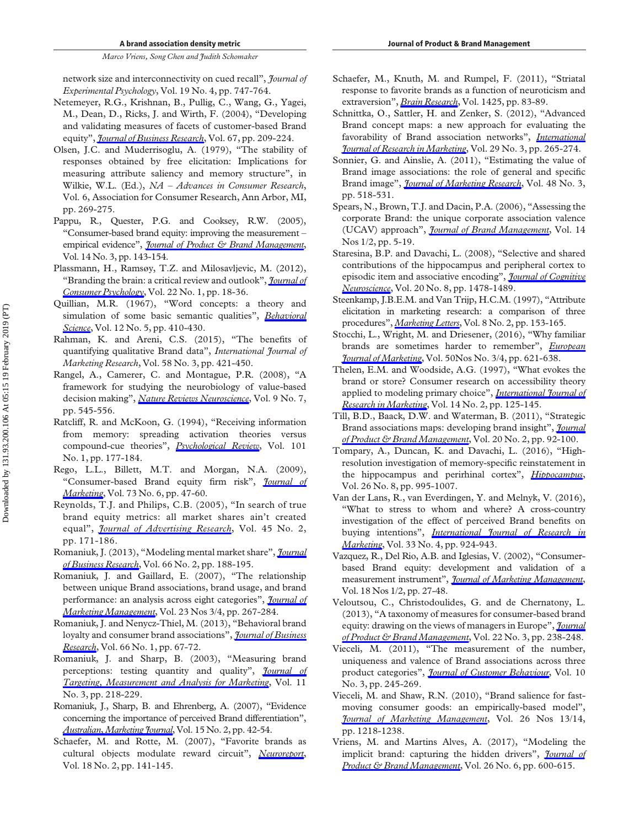network size and interconnectivity on cued recall", *Journal of* Experimental Psychology, Vol. 19 No. 4, pp. 747-764.

- <span id="page-12-3"></span>Netemeyer, R.G., Krishnan, B., Pullig, C., Wang, G., Yagei, M., Dean, D., Ricks, J. and Wirth, F. (2004), "Developing and validating measures of facets of customer-based Brand equity", *<u>Fournal of Business Research</u>*, Vol. 67, pp. 209-224.
- <span id="page-12-28"></span>Olsen, J.C. and Muderrisoglu, A. (1979), "The stability of responses obtained by free elicitation: Implications for measuring attribute saliency and memory structure", in Wilkie, W.L. (Ed.), NA - Advances in Consumer Research, Vol. 6, Association for Consumer Research, Ann Arbor, MI, pp. 269-275.
- <span id="page-12-4"></span>Pappu, R., Quester, P.G. and Cooksey, R.W. (2005), "Consumer-based brand equity: improving the measurement – empirical evidence", *[Journal of Product & Brand Management](https://www.emeraldinsight.com/action/showLinks?doi=10.1108%2FJPBM-02-2018-1768&system=10.1108%2F10610420510601012&citationId=p_55)*, Vol. 14 No. 3, pp. 143-154.
- <span id="page-12-30"></span>Plassmann, H., Ramsøy, T.Z. and Milosavljevic, M. (2012), "Branding the brain: a critical review and outlook", *fournal of* [Consumer Psychology](https://www.emeraldinsight.com/action/showLinks?doi=10.1108%2FJPBM-02-2018-1768&crossref=10.1016%2Fj.jcps.2011.11.010&isi=000302447200004&citationId=p_56), Vol. 22 No. 1, pp. 18-36.
- <span id="page-12-5"></span>Quillian, M.R. (1967), "Word concepts: a theory and simulation of some basic semantic qualities", [Behavioral](https://www.emeraldinsight.com/action/showLinks?doi=10.1108%2FJPBM-02-2018-1768&crossref=10.1002%2Fbs.3830120511&citationId=p_57) [Science](https://www.emeraldinsight.com/action/showLinks?doi=10.1108%2FJPBM-02-2018-1768&crossref=10.1002%2Fbs.3830120511&citationId=p_57), Vol. 12 No. 5, pp. 410-430.
- <span id="page-12-21"></span>Rahman, K. and Areni, C.S. (2015), "The benefits of quantifying qualitative Brand data", International Journal of Marketing Research, Vol. 58 No. 3, pp. 421-450.
- <span id="page-12-15"></span>Rangel, A., Camerer, C. and Montague, P.R. (2008), "A framework for studying the neurobiology of value-based decision making", [Nature Reviews Neuroscience](https://www.emeraldinsight.com/action/showLinks?doi=10.1108%2FJPBM-02-2018-1768&crossref=10.1038%2Fnrn2357&isi=000256929300014&citationId=p_59), Vol. 9 No. 7, pp. 545-556.
- <span id="page-12-11"></span>Ratcliff, R. and McKoon, G. (1994), "Receiving information from memory: spreading activation theories versus compound-cue theories", [Psychological Review](https://www.emeraldinsight.com/action/showLinks?doi=10.1108%2FJPBM-02-2018-1768&crossref=10.1037%2F0033-295X.101.1.177&isi=A1994MQ60500010&citationId=p_60), Vol. 101 No. 1, pp. 177-184.
- <span id="page-12-1"></span>Rego, L.L., Billett, M.T. and Morgan, N.A. (2009), "Consumer-based Brand equity firm risk", *[Journal of](https://www.emeraldinsight.com/action/showLinks?doi=10.1108%2FJPBM-02-2018-1768&crossref=10.1509%2Fjmkg.73.6.47&isi=000271442800004&citationId=p_61)* [Marketing](https://www.emeraldinsight.com/action/showLinks?doi=10.1108%2FJPBM-02-2018-1768&crossref=10.1509%2Fjmkg.73.6.47&isi=000271442800004&citationId=p_61), Vol. 73 No. 6, pp. 47-60.
- <span id="page-12-9"></span>Reynolds, T.J. and Philips, C.B. (2005), "In search of true brand equity metrics: all market shares ain't created equal", *[Journal of Advertising Research](https://www.emeraldinsight.com/action/showLinks?doi=10.1108%2FJPBM-02-2018-1768&crossref=10.1017%2FS0021849905050191&isi=000234446000003&citationId=p_62)*, Vol. 45 No. 2, pp. 171-186.
- <span id="page-12-20"></span>Romaniuk, J. (2013), "Modeling mental market share", *fournal* [of Business Research](https://www.emeraldinsight.com/action/showLinks?doi=10.1108%2FJPBM-02-2018-1768&crossref=10.1016%2Fj.jbusres.2012.07.012&isi=000313757400007&citationId=p_63), Vol. 66 No. 2, pp. 188-195.
- <span id="page-12-23"></span>Romaniuk, J. and Gaillard, E. (2007), "The relationship between unique Brand associations, brand usage, and brand performance: an analysis across eight categories", *[Journal of](https://www.emeraldinsight.com/action/showLinks?doi=10.1108%2FJPBM-02-2018-1768&crossref=10.1362%2F026725707X196378&citationId=p_64)* [Marketing Management](https://www.emeraldinsight.com/action/showLinks?doi=10.1108%2FJPBM-02-2018-1768&crossref=10.1362%2F026725707X196378&citationId=p_64), Vol. 23 Nos 3/4, pp. 267-284.
- <span id="page-12-19"></span>Romaniuk, J. and Nenycz-Thiel, M. (2013), "Behavioral brand loyalty and consumer brand associations", *[Journal of Business](https://www.emeraldinsight.com/action/showLinks?doi=10.1108%2FJPBM-02-2018-1768&crossref=10.1016%2Fj.jbusres.2011.07.024&isi=000313608200010&citationId=p_65)* [Research](https://www.emeraldinsight.com/action/showLinks?doi=10.1108%2FJPBM-02-2018-1768&crossref=10.1016%2Fj.jbusres.2011.07.024&isi=000313608200010&citationId=p_65), Vol. 66 No. 1, pp. 67-72.
- <span id="page-12-16"></span>Romaniuk, J. and Sharp, B. (2003), "Measuring brand perceptions: testing quantity and quality", *[Journal of](https://www.emeraldinsight.com/action/showLinks?doi=10.1108%2FJPBM-02-2018-1768&crossref=10.1057%2Fpalgrave.jt.5740079&citationId=p_66)* [Targeting, Measurement and Analysis for Marketing](https://www.emeraldinsight.com/action/showLinks?doi=10.1108%2FJPBM-02-2018-1768&crossref=10.1057%2Fpalgrave.jt.5740079&citationId=p_66), Vol. 11 No. 3, pp. 218-229.
- <span id="page-12-24"></span>Romaniuk, J., Sharp, B. and Ehrenberg, A. (2007), "Evidence concerning the importance of perceived Brand differentiation", Australian, Marketing Fournal, Vol. 15 No. 2, pp. 42-54.
- <span id="page-12-13"></span>Schaefer, M. and Rotte, M. (2007), "Favorite brands as cultural objects modulate reward circuit", [Neuroreport](https://www.emeraldinsight.com/action/showLinks?doi=10.1108%2FJPBM-02-2018-1768&crossref=10.1097%2FWNR.0b013e328010ac84&isi=000244459700008&citationId=p_68), Vol. 18 No. 2, pp. 141-145.
- <span id="page-12-14"></span>Schaefer, M., Knuth, M. and Rumpel, F. (2011), "Striatal response to favorite brands as a function of neuroticism and extraversion", *[Brain Research](https://www.emeraldinsight.com/action/showLinks?doi=10.1108%2FJPBM-02-2018-1768&crossref=10.1016%2Fj.brainres.2011.09.055&isi=000298122300009&citationId=p_69)*, Vol. 1425, pp. 83-89.
- <span id="page-12-18"></span>Schnittka, O., Sattler, H. and Zenker, S. (2012), "Advanced Brand concept maps: a new approach for evaluating the favorability of Brand association networks", *[International](https://www.emeraldinsight.com/action/showLinks?doi=10.1108%2FJPBM-02-2018-1768&crossref=10.1016%2Fj.ijresmar.2012.04.002&isi=000308768500005&citationId=p_70)* [Journal of Research in Marketing](https://www.emeraldinsight.com/action/showLinks?doi=10.1108%2FJPBM-02-2018-1768&crossref=10.1016%2Fj.ijresmar.2012.04.002&isi=000308768500005&citationId=p_70), Vol. 29 No. 3, pp. 265-274.
- <span id="page-12-10"></span>Sonnier, G. and Ainslie, A. (2011), "Estimating the value of Brand image associations: the role of general and specific Brand image", *[Journal of Marketing Research](https://www.emeraldinsight.com/action/showLinks?doi=10.1108%2FJPBM-02-2018-1768&crossref=10.1509%2Fjmkr.48.3.518&isi=000291076900008&citationId=p_71)*, Vol. 48 No. 3, pp. 518-531.
- <span id="page-12-26"></span>Spears, N., Brown, T.J. and Dacin, P.A. (2006), "Assessing the corporate Brand: the unique corporate association valence (UCAV) approach", *[Journal of Brand Management](https://www.emeraldinsight.com/action/showLinks?doi=10.1108%2FJPBM-02-2018-1768&crossref=10.1057%2Fpalgrave.bm.2550051&citationId=p_72)*, Vol. 14 Nos 1/2, pp. 5-19.
- <span id="page-12-12"></span>Staresina, B.P. and Davachi, L. (2008), "Selective and shared contributions of the hippocampus and peripheral cortex to episodic item and associative encoding", *[Journal of Cognitive](https://www.emeraldinsight.com/action/showLinks?doi=10.1108%2FJPBM-02-2018-1768&crossref=10.1162%2Fjocn.2008.20104&isi=000257669600012&citationId=p_73)* [Neuroscience](https://www.emeraldinsight.com/action/showLinks?doi=10.1108%2FJPBM-02-2018-1768&crossref=10.1162%2Fjocn.2008.20104&isi=000257669600012&citationId=p_73), Vol. 20 No. 8, pp. 1478-1489.
- <span id="page-12-29"></span>Steenkamp, J.B.E.M. and Van Trijp, H.C.M. (1997), "Attribute elicitation in marketing research: a comparison of three procedures", [Marketing Letters](https://www.emeraldinsight.com/action/showLinks?doi=10.1108%2FJPBM-02-2018-1768&crossref=10.1023%2FA%3A1007975518638&citationId=p_74), Vol. 8 No. 2, pp. 153-165.
- <span id="page-12-22"></span>Stocchi, L., Wright, M. and Driesener, (2016), "Why familiar brands are sometimes harder to remember", [European](https://www.emeraldinsight.com/action/showLinks?doi=10.1108%2FJPBM-02-2018-1768&system=10.1108%2FEJM-10-2014-0648&isi=000378159400014&citationId=p_75) [Journal of Marketing](https://www.emeraldinsight.com/action/showLinks?doi=10.1108%2FJPBM-02-2018-1768&system=10.1108%2FEJM-10-2014-0648&isi=000378159400014&citationId=p_75), Vol. 50Nos No. 3/4, pp. 621-638.
- <span id="page-12-6"></span>Thelen, E.M. and Woodside, A.G. (1997), "What evokes the brand or store? Consumer research on accessibility theory applied to modeling primary choice", *[International Journal of](https://www.emeraldinsight.com/action/showLinks?doi=10.1108%2FJPBM-02-2018-1768&crossref=10.1016%2FS0167-8116%2896%2900037-7&isi=A1997XB28100002&citationId=p_76)* [Research in Marketing](https://www.emeraldinsight.com/action/showLinks?doi=10.1108%2FJPBM-02-2018-1768&crossref=10.1016%2FS0167-8116%2896%2900037-7&isi=A1997XB28100002&citationId=p_76), Vol. 14 No. 2, pp. 125-145.
- <span id="page-12-31"></span>Till, B.D., Baack, D.W. and Waterman, B. (2011), "Strategic Brand associations maps: developing brand insight", *fournal* [of Product & Brand Management](https://www.emeraldinsight.com/action/showLinks?doi=10.1108%2FJPBM-02-2018-1768&system=10.1108%2F10610421111121080&citationId=p_77), Vol. 20 No. 2, pp. 92-100.
- <span id="page-12-7"></span>Tompary, A., Duncan, K. and Davachi, L. (2016), "Highresolution investigation of memory-specific reinstatement in the hippocampus and perirhinal cortex", *[Hippocampus](https://www.emeraldinsight.com/action/showLinks?doi=10.1108%2FJPBM-02-2018-1768&crossref=10.1002%2Fhipo.22582&isi=000383273400003&citationId=p_78)*, Vol. 26 No. 8, pp. 995-1007.
- <span id="page-12-27"></span>Van der Lans, R., van Everdingen, Y. and Melnyk, V. (2016), "What to stress to whom and where? A cross-country investigation of the effect of perceived Brand benefits on buying intentions", *[International Journal of Research in](https://www.emeraldinsight.com/action/showLinks?doi=10.1108%2FJPBM-02-2018-1768&crossref=10.1016%2Fj.ijresmar.2016.05.002&isi=000390736600016&citationId=p_79)* [Marketing](https://www.emeraldinsight.com/action/showLinks?doi=10.1108%2FJPBM-02-2018-1768&crossref=10.1016%2Fj.ijresmar.2016.05.002&isi=000390736600016&citationId=p_79), Vol. 33 No. 4, pp. 924-943.
- <span id="page-12-0"></span>Vazquez, R., Del Rio, A.B. and Iglesias, V. (2002), "Consumerbased Brand equity: development and validation of a measurement instrument", *[Journal of Marketing Management](https://www.emeraldinsight.com/action/showLinks?doi=10.1108%2FJPBM-02-2018-1768&crossref=10.1362%2F0267257022775882&citationId=p_80)*, Vol. 18 Nos 1/2, pp. 27-48.
- <span id="page-12-8"></span>Veloutsou, C., Christodoulides, G. and de Chernatony, L. (2013), "A taxonomy of measures for consumer-based brand equity: drawing on the views of managers in Europe", *[Journal](https://www.emeraldinsight.com/action/showLinks?doi=10.1108%2FJPBM-02-2018-1768&system=10.1108%2FJPBM-02-2013-0256&citationId=p_81)* [of Product & Brand Management](https://www.emeraldinsight.com/action/showLinks?doi=10.1108%2FJPBM-02-2018-1768&system=10.1108%2FJPBM-02-2013-0256&citationId=p_81), Vol. 22 No. 3, pp. 238-248.
- <span id="page-12-25"></span>Vieceli, M. (2011), "The measurement of the number, uniqueness and valence of Brand associations across three product categories", *[Journal of Customer Behaviour](https://www.emeraldinsight.com/action/showLinks?doi=10.1108%2FJPBM-02-2018-1768&crossref=10.1362%2F147539211X602504&citationId=p_82)*, Vol. 10 No. 3, pp. 245-269.
- <span id="page-12-17"></span>Vieceli, M. and Shaw, R.N. (2010), "Brand salience for fastmoving consumer goods: an empirically-based model", **[Journal of Marketing Management](https://www.emeraldinsight.com/action/showLinks?doi=10.1108%2FJPBM-02-2018-1768&crossref=10.1080%2F0267257X.2010.523009&citationId=p_83), Vol. 26 Nos 13/14,** pp. 1218-1238.
- <span id="page-12-2"></span>Vriens, M. and Martins Alves, A. (2017), "Modeling the implicit brand: capturing the hidden drivers", *[Journal of](https://www.emeraldinsight.com/action/showLinks?doi=10.1108%2FJPBM-02-2018-1768&system=10.1108%2FJPBM-10-2016-1327&isi=000416658900007&citationId=p_84)* [Product & Brand Management](https://www.emeraldinsight.com/action/showLinks?doi=10.1108%2FJPBM-02-2018-1768&system=10.1108%2FJPBM-10-2016-1327&isi=000416658900007&citationId=p_84), Vol. 26 No. 6, pp. 600-615.